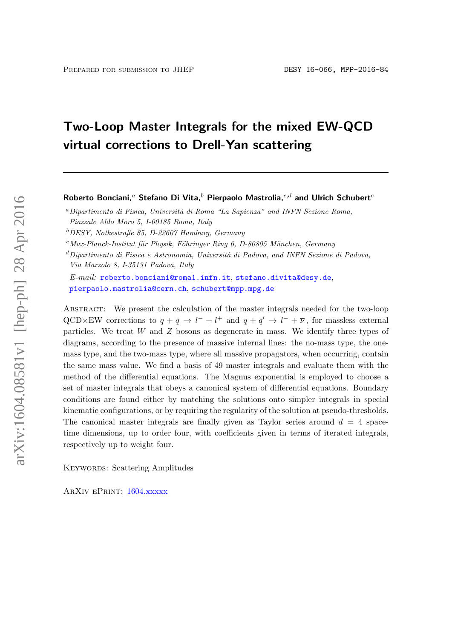# Two-Loop Master Integrals for the mixed EW-QCD virtual corrections to Drell-Yan scattering

Roberto Bonciani,<sup>a</sup> Stefano Di Vita,<sup>b</sup> Pierpaolo Mastrolia, $c, d$  and Ulrich Schubert<sup>c</sup>

<sup>a</sup>Dipartimento di Fisica, Università di Roma "La Sapienza" and INFN Sezione Roma, Piazzale Aldo Moro 5, I-00185 Roma, Italy

<sup>b</sup>DESY, Notkestraße 85, D-22607 Hamburg, Germany

 $c$ Max-Planck-Institut für Physik, Föhringer Ring 6, D-80805 München, Germany

 $d$ Dipartimento di Fisica e Astronomia, Università di Padova, and INFN Sezione di Padova, Via Marzolo 8, I-35131 Padova, Italy

E-mail: [roberto.bonciani@roma1.infn.it](mailto:roberto.bonciani@roma1.infn.it), [stefano.divita@desy.de](mailto:stefano.divita@desy.de), [pierpaolo.mastrolia@cern.ch](mailto:pierpaolo.mastrolia@cern.ch), [schubert@mpp.mpg.de](mailto:schubert@mpp.mpg.de)

ABSTRACT: We present the calculation of the master integrals needed for the two-loop QCD×EW corrections to  $q + \bar{q} \to l^- + l^+$  and  $q + \bar{q}' \to l^- + \bar{\nu}$ , for massless external particles. We treat  $W$  and  $Z$  bosons as degenerate in mass. We identify three types of diagrams, according to the presence of massive internal lines: the no-mass type, the onemass type, and the two-mass type, where all massive propagators, when occurring, contain the same mass value. We find a basis of 49 master integrals and evaluate them with the method of the differential equations. The Magnus exponential is employed to choose a set of master integrals that obeys a canonical system of differential equations. Boundary conditions are found either by matching the solutions onto simpler integrals in special kinematic configurations, or by requiring the regularity of the solution at pseudo-thresholds. The canonical master integrals are finally given as Taylor series around  $d = 4$  spacetime dimensions, up to order four, with coefficients given in terms of iterated integrals, respectively up to weight four.

KEYWORDS: Scattering Amplitudes

ArXiv ePrint: [1604.xxxxx](http://arxiv.org/abs/1604.xxxxx)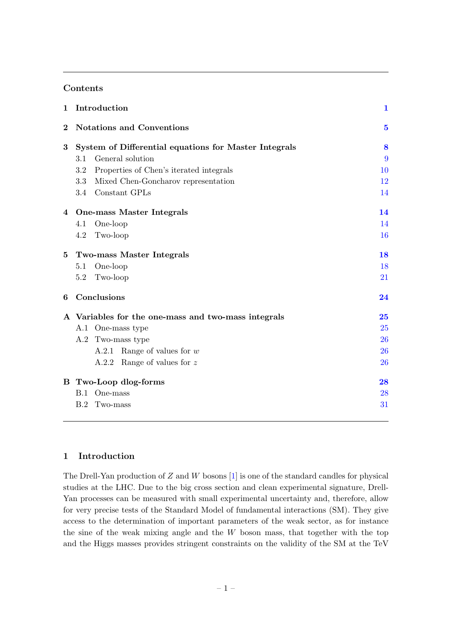# Contents

| $\mathbf{1}$ | Introduction                                          | $\mathbf{1}$ |
|--------------|-------------------------------------------------------|--------------|
| $\bf{2}$     | <b>Notations and Conventions</b>                      | $\bf{5}$     |
| 3            | System of Differential equations for Master Integrals | 8            |
|              | General solution<br>3.1                               | 9            |
|              | Properties of Chen's iterated integrals<br>3.2        | 10           |
|              | Mixed Chen-Goncharov representation<br>3.3            | 12           |
|              | 3.4 Constant GPLs                                     | 14           |
| 4            | One-mass Master Integrals                             | 14           |
|              | One-loop<br>4.1                                       | 14           |
|              | Two-loop<br>4.2                                       | <b>16</b>    |
| 5            | Two-mass Master Integrals                             | 18           |
|              | One-loop<br>5.1                                       | 18           |
|              | Two-loop<br>5.2                                       | 21           |
| 6            | Conclusions                                           | 24           |
|              | A Variables for the one-mass and two-mass integrals   | 25           |
|              | A.1 One-mass type                                     | 25           |
|              | A.2 Two-mass type                                     | 26           |
|              | A.2.1 Range of values for $w$                         | <b>26</b>    |
|              | A.2.2 Range of values for $z$                         | 26           |
|              | <b>B</b> Two-Loop dlog-forms                          | 28           |
|              | B.1 One-mass                                          | 28           |
|              | B.2<br>Two-mass                                       | 31           |

# <span id="page-1-0"></span>1 Introduction

The Drell-Yan production of  $Z$  and  $W$  bosons [\[1\]](#page-40-0) is one of the standard candles for physical studies at the LHC. Due to the big cross section and clean experimental signature, Drell-Yan processes can be measured with small experimental uncertainty and, therefore, allow for very precise tests of the Standard Model of fundamental interactions (SM). They give access to the determination of important parameters of the weak sector, as for instance the sine of the weak mixing angle and the  $W$  boson mass, that together with the top and the Higgs masses provides stringent constraints on the validity of the SM at the TeV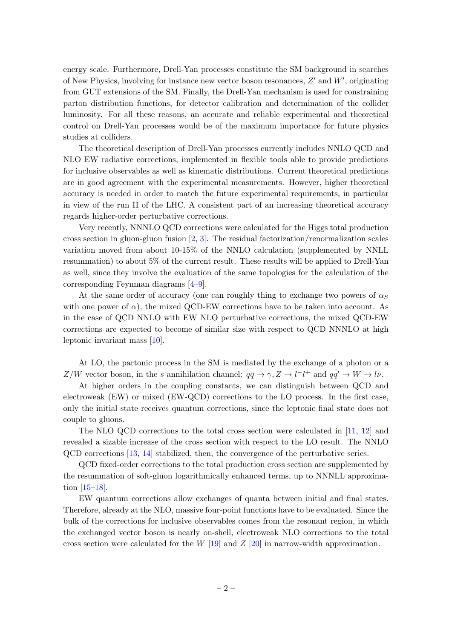energy scale. Furthermore, Drell-Yan processes constitute the SM background in searches of New Physics, involving for instance new vector boson resonances,  $Z'$  and  $W'$ , originating from GUT extensions of the SM. Finally, the Drell-Yan mechanism is used for constraining parton distribution functions, for detector calibration and determination of the collider luminosity. For all these reasons, an accurate and reliable experimental and theoretical control on Drell-Yan processes would be of the maximum importance for future physics studies at colliders.

The theoretical description of Drell-Yan processes currently includes NNLO QCD and NLO EW radiative corrections, implemented in flexible tools able to provide predictions for inclusive observables as well as kinematic distributions. Current theoretical predictions are in good agreement with the experimental measurements. However, higher theoretical accuracy is needed in order to match the future experimental requirements, in particular in view of the run II of the LHC. A consistent part of an increasing theoretical accuracy regards higher-order perturbative corrections.

Very recently, NNNLO QCD corrections were calculated for the Higgs total production cross section in gluon-gluon fusion  $[2, 3]$  $[2, 3]$ . The residual factorization/renormalization scales variation moved from about 10-15% of the NNLO calculation (supplemented by NNLL resummation) to about 5% of the current result. These results will be applied to Drell-Yan as well, since they involve the evaluation of the same topologies for the calculation of the corresponding Feynman diagrams [\[4–](#page-40-3)[9\]](#page-40-4).

At the same order of accuracy (one can roughly thing to exchange two powers of  $\alpha_S$ with one power of  $\alpha$ ), the mixed QCD-EW corrections have to be taken into account. As in the case of QCD NNLO with EW NLO perturbative corrections, the mixed QCD-EW corrections are expected to become of similar size with respect to QCD NNNLO at high leptonic invariant mass [\[10\]](#page-40-5).

At LO, the partonic process in the SM is mediated by the exchange of a photon or a Z/W vector boson, in the s annihilation channel:  $q\bar{q} \to \gamma$ ,  $Z \to l^-l^+$  and  $q\bar{q'} \to W \to l\nu$ .

At higher orders in the coupling constants, we can distinguish between QCD and electroweak (EW) or mixed (EW-QCD) corrections to the LO process. In the first case, only the initial state receives quantum corrections, since the leptonic final state does not couple to gluons.

The NLO QCD corrections to the total cross section were calculated in [\[11,](#page-40-6) [12\]](#page-40-7) and revealed a sizable increase of the cross section with respect to the LO result. The NNLO QCD corrections [\[13,](#page-40-8) [14\]](#page-40-9) stabilized, then, the convergence of the perturbative series.

QCD fixed-order corrections to the total production cross section are supplemented by the resummation of soft-gluon logarithmically enhanced terms, up to NNNLL approximation [\[15–](#page-40-10)[18\]](#page-41-0).

EW quantum corrections allow exchanges of quanta between initial and final states. Therefore, already at the NLO, massive four-point functions have to be evaluated. Since the bulk of the corrections for inclusive observables comes from the resonant region, in which the exchanged vector boson is nearly on-shell, electroweak NLO corrections to the total cross section were calculated for the W  $[19]$  and Z  $[20]$  in narrow-width approximation.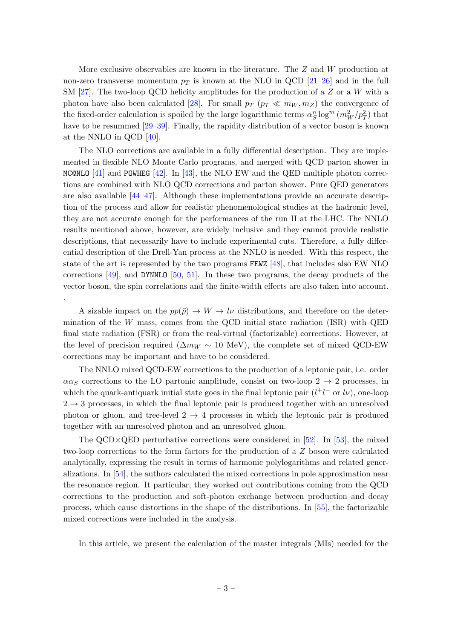More exclusive observables are known in the literature. The Z and W production at non-zero transverse momentum  $p_T$  is known at the NLO in QCD [\[21](#page-41-3)[–26\]](#page-41-4) and in the full SM  $[27]$ . The two-loop QCD helicity amplitudes for the production of a Z or a W with a photon have also been calculated [\[28\]](#page-41-6). For small  $p_T$  ( $p_T \ll m_W, m_Z$ ) the convergence of the fixed-order calculation is spoiled by the large logarithmic terms  $\alpha_S^n \log^m(m_W^2/p_T^2)$  that have to be resummed  $[29–39]$  $[29–39]$ . Finally, the rapidity distribution of a vector boson is known at the NNLO in QCD [\[40\]](#page-42-1).

The NLO corrections are available in a fully differential description. They are implemented in flexible NLO Monte Carlo programs, and merged with QCD parton shower in MC@NLO  $[41]$  and POWHEG  $[42]$ . In  $[43]$ , the NLO EW and the QED multiple photon corrections are combined with NLO QCD corrections and parton shower. Pure QED generators are also available [\[44–](#page-42-5)[47\]](#page-42-6). Although these implementations provide an accurate description of the process and allow for realistic phenomenological studies at the hadronic level, they are not accurate enough for the performances of the run II at the LHC. The NNLO results mentioned above, however, are widely inclusive and they cannot provide realistic descriptions, that necessarily have to include experimental cuts. Therefore, a fully differential description of the Drell-Yan process at the NNLO is needed. With this respect, the state of the art is represented by the two programs FEWZ [\[48\]](#page-42-7), that includes also EW NLO corrections  $[49]$ , and DYNNLO  $[50, 51]$  $[50, 51]$  $[50, 51]$ . In these two programs, the decay products of the vector boson, the spin correlations and the finite-width effects are also taken into account. .

A sizable impact on the  $pp(\bar{p}) \rightarrow W \rightarrow l\nu$  distributions, and therefore on the determination of the  $W$  mass, comes from the QCD initial state radiation (ISR) with QED final state radiation (FSR) or from the real-virtual (factorizable) corrections. However, at the level of precision required ( $\Delta m_W \sim 10$  MeV), the complete set of mixed QCD-EW corrections may be important and have to be considered.

The NNLO mixed QCD-EW corrections to the production of a leptonic pair, i.e. order  $\alpha\alpha_S$  corrections to the LO partonic amplitude, consist on two-loop  $2 \rightarrow 2$  processes, in which the quark-antiquark initial state goes in the final leptonic pair  $(l^+l^-$  or  $l\nu$ ), one-loop  $2 \rightarrow 3$  processes, in which the final leptonic pair is produced together with an unresolved photon or gluon, and tree-level  $2 \rightarrow 4$  processes in which the leptonic pair is produced together with an unresolved photon and an unresolved gluon.

The QCD×QED perturbative corrections were considered in [\[52\]](#page-43-1). In [\[53\]](#page-43-2), the mixed two-loop corrections to the form factors for the production of a Z boson were calculated analytically, expressing the result in terms of harmonic polylogarithms and related generalizations. In [\[54\]](#page-43-3), the authors calculated the mixed corrections in pole approximation near the resonance region. It particular, they worked out contributions coming from the QCD corrections to the production and soft-photon exchange between production and decay process, which cause distortions in the shape of the distributions. In [\[55\]](#page-43-4), the factorizable mixed corrections were included in the analysis.

In this article, we present the calculation of the master integrals (MIs) needed for the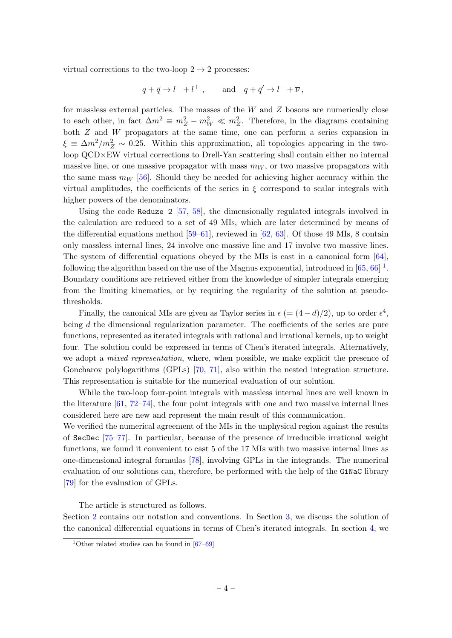virtual corrections to the two-loop  $2 \rightarrow 2$  processes:

$$
q+\bar q\to l^-+l^+\ ,\qquad {\rm and}\quad q+\bar q'\to l^-+\overline{\nu}\,,
$$

for massless external particles. The masses of the W and Z bosons are numerically close to each other, in fact  $\Delta m^2 \equiv m_Z^2 - m_W^2 \ll m_Z^2$ . Therefore, in the diagrams containing both Z and W propagators at the same time, one can perform a series expansion in  $\xi \equiv \Delta m^2/m_Z^2 \sim 0.25$ . Within this approximation, all topologies appearing in the twoloop QCD×EW virtual corrections to Drell-Yan scattering shall contain either no internal massive line, or one massive propagator with mass  $m_W$ , or two massive propagators with the same mass  $m_W$  [\[56\]](#page-43-5). Should they be needed for achieving higher accuracy within the virtual amplitudes, the coefficients of the series in  $\xi$  correspond to scalar integrals with higher powers of the denominators.

Using the code Reduze 2 [\[57,](#page-43-6) [58\]](#page-43-7), the dimensionally regulated integrals involved in the calculation are reduced to a set of 49 MIs, which are later determined by means of the differential equations method [\[59](#page-43-8)[–61\]](#page-43-9), reviewed in [\[62,](#page-43-10) [63\]](#page-43-11). Of those 49 MIs, 8 contain only massless internal lines, 24 involve one massive line and 17 involve two massive lines. The system of differential equations obeyed by the MIs is cast in a canonical form [\[64\]](#page-43-12), following the algorithm based on the use of the Magnus exponential, introduced in  $[65, 66]$  $[65, 66]$ <sup>[1](#page-4-0)</sup>. Boundary conditions are retrieved either from the knowledge of simpler integrals emerging from the limiting kinematics, or by requiring the regularity of the solution at pseudothresholds.

Finally, the canonical MIs are given as Taylor series in  $\epsilon$  (=  $(4-d)/2$ ), up to order  $\epsilon^4$ , being  $d$  the dimensional regularization parameter. The coefficients of the series are pure functions, represented as iterated integrals with rational and irrational kernels, up to weight four. The solution could be expressed in terms of Chen's iterated integrals. Alternatively, we adopt a *mixed representation*, where, when possible, we make explicit the presence of Goncharov polylogarithms (GPLs) [\[70,](#page-44-0) [71\]](#page-44-1), also within the nested integration structure. This representation is suitable for the numerical evaluation of our solution.

While the two-loop four-point integrals with massless internal lines are well known in the literature  $[61, 72-74]$  $[61, 72-74]$  $[61, 72-74]$ , the four point integrals with one and two massive internal lines considered here are new and represent the main result of this communication.

We verified the numerical agreement of the MIs in the unphysical region against the results of SecDec [\[75](#page-44-4)[–77\]](#page-44-5). In particular, because of the presence of irreducible irrational weight functions, we found it convenient to cast 5 of the 17 MIs with two massive internal lines as one-dimensional integral formulas [\[78\]](#page-44-6), involving GPLs in the integrands. The numerical evaluation of our solutions can, therefore, be performed with the help of the GiNaC library [\[79\]](#page-44-7) for the evaluation of GPLs.

The article is structured as follows.

Section [2](#page-5-0) contains our notation and conventions. In Section [3,](#page-8-0) we discuss the solution of the canonical differential equations in terms of Chen's iterated integrals. In section [4,](#page-14-1) we

<span id="page-4-0"></span><sup>&</sup>lt;sup>1</sup>Other related studies can be found in  $[67-69]$  $[67-69]$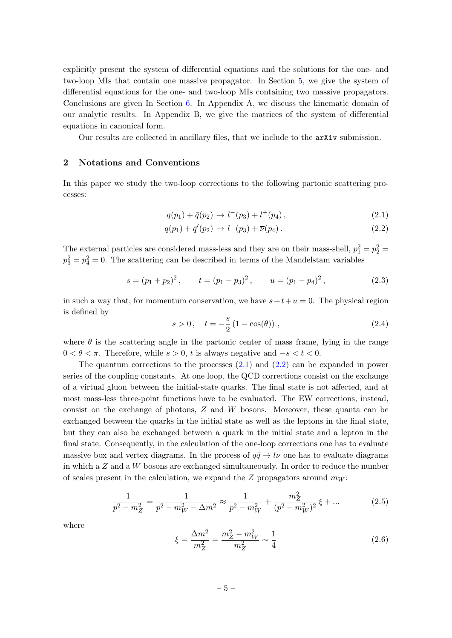explicitly present the system of differential equations and the solutions for the one- and two-loop MIs that contain one massive propagator. In Section [5,](#page-18-0) we give the system of differential equations for the one- and two-loop MIs containing two massive propagators. Conclusions are given In Section [6.](#page-24-0) In Appendix A, we discuss the kinematic domain of our analytic results. In Appendix B, we give the matrices of the system of differential equations in canonical form.

Our results are collected in ancillary files, that we include to the arXiv submission.

# <span id="page-5-0"></span>2 Notations and Conventions

In this paper we study the two-loop corrections to the following partonic scattering processes:

$$
q(p_1) + \bar{q}(p_2) \to l^-(p_3) + l^+(p_4) , \qquad (2.1)
$$

<span id="page-5-1"></span>
$$
q(p_1) + \bar{q}'(p_2) \to l^-(p_3) + \bar{\nu}(p_4).
$$
 (2.2)

The external particles are considered mass-less and they are on their mass-shell,  $p_1^2 = p_2^2 =$  $p_3^2 = p_4^2 = 0$ . The scattering can be described in terms of the Mandelstam variables

<span id="page-5-2"></span>
$$
s = (p_1 + p_2)^2
$$
,  $t = (p_1 - p_3)^2$ ,  $u = (p_1 - p_4)^2$ , (2.3)

in such a way that, for momentum conservation, we have  $s+t+u=0$ . The physical region is defined by

$$
s > 0, \quad t = -\frac{s}{2} (1 - \cos(\theta)), \tag{2.4}
$$

where  $\theta$  is the scattering angle in the partonic center of mass frame, lying in the range  $0 < \theta < \pi$ . Therefore, while  $s > 0$ , t is always negative and  $-s < t < 0$ .

The quantum corrections to the processes [\(2.1\)](#page-5-1) and [\(2.2\)](#page-5-1) can be expanded in power series of the coupling constants. At one loop, the QCD corrections consist on the exchange of a virtual gluon between the initial-state quarks. The final state is not affected, and at most mass-less three-point functions have to be evaluated. The EW corrections, instead, consist on the exchange of photons, Z and W bosons. Moreover, these quanta can be exchanged between the quarks in the initial state as well as the leptons in the final state, but they can also be exchanged between a quark in the initial state and a lepton in the final state. Consequently, in the calculation of the one-loop corrections one has to evaluate massive box and vertex diagrams. In the process of  $q\bar{q} \rightarrow l\nu$  one has to evaluate diagrams in which a  $Z$  and a  $W$  bosons are exchanged simultaneously. In order to reduce the number of scales present in the calculation, we expand the  $Z$  propagators around  $m_W$ :

$$
\frac{1}{p^2 - m_Z^2} = \frac{1}{p^2 - m_W^2 - \Delta m^2} \approx \frac{1}{p^2 - m_W^2} + \frac{m_Z^2}{(p^2 - m_W^2)^2} \xi + \dots
$$
 (2.5)

where

$$
\xi = \frac{\Delta m^2}{m_Z^2} = \frac{m_Z^2 - m_W^2}{m_Z^2} \sim \frac{1}{4}
$$
\n(2.6)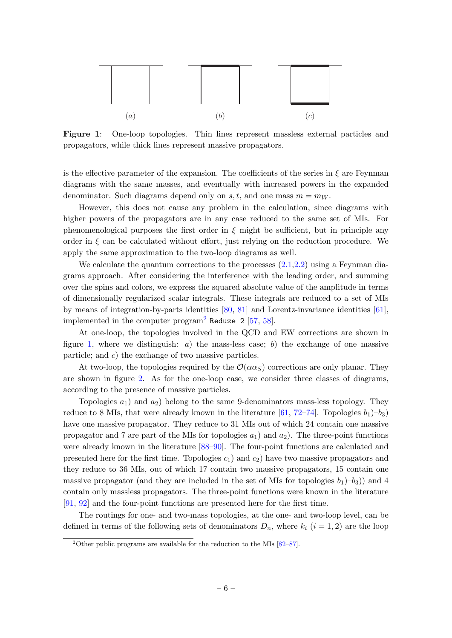<span id="page-6-1"></span>

Figure 1: One-loop topologies. Thin lines represent massless external particles and propagators, while thick lines represent massive propagators.

is the effective parameter of the expansion. The coefficients of the series in  $\xi$  are Feynman diagrams with the same masses, and eventually with increased powers in the expanded denominator. Such diagrams depend only on s, t, and one mass  $m = m_W$ .

However, this does not cause any problem in the calculation, since diagrams with higher powers of the propagators are in any case reduced to the same set of MIs. For phenomenological purposes the first order in  $\xi$  might be sufficient, but in principle any order in  $\xi$  can be calculated without effort, just relying on the reduction procedure. We apply the same approximation to the two-loop diagrams as well.

We calculate the quantum corrections to the processes  $(2.1, 2.2)$  using a Feynman diagrams approach. After considering the interference with the leading order, and summing over the spins and colors, we express the squared absolute value of the amplitude in terms of dimensionally regularized scalar integrals. These integrals are reduced to a set of MIs by means of integration-by-parts identities [\[80,](#page-44-8) [81\]](#page-44-9) and Lorentz-invariance identities [\[61\]](#page-43-9), implemented in the computer program<sup>[2](#page-6-0)</sup> Reduze 2 [\[57,](#page-43-6) [58\]](#page-43-7).

At one-loop, the topologies involved in the QCD and EW corrections are shown in figure [1,](#page-6-1) where we distinguish: a) the mass-less case; b) the exchange of one massive particle; and c) the exchange of two massive particles.

At two-loop, the topologies required by the  $\mathcal{O}(\alpha \alpha_S)$  corrections are only planar. They are shown in figure [2.](#page-7-0) As for the one-loop case, we consider three classes of diagrams, according to the presence of massive particles.

Topologies  $a_1$ ) and  $a_2$ ) belong to the same 9-denominators mass-less topology. They reduce to 8 MIs, that were already known in the literature  $[61, 72-74]$  $[61, 72-74]$ . Topologies  $b_1$ )– $b_3$ ) have one massive propagator. They reduce to 31 MIs out of which 24 contain one massive propagator and 7 are part of the MIs for topologies  $a_1$ ) and  $a_2$ ). The three-point functions were already known in the literature [\[88–](#page-44-10)[90\]](#page-45-0). The four-point functions are calculated and presented here for the first time. Topologies  $c_1$ ) and  $c_2$ ) have two massive propagators and they reduce to 36 MIs, out of which 17 contain two massive propagators, 15 contain one massive propagator (and they are included in the set of MIs for topologies  $b_1$ )– $b_3$ )) and 4 contain only massless propagators. The three-point functions were known in the literature [\[91,](#page-45-1) [92\]](#page-45-2) and the four-point functions are presented here for the first time.

The routings for one- and two-mass topologies, at the one- and two-loop level, can be defined in terms of the following sets of denominators  $D_n$ , where  $k_i$   $(i = 1, 2)$  are the loop

<span id="page-6-0"></span><sup>&</sup>lt;sup>2</sup>Other public programs are available for the reduction to the MIs  $[82-87]$  $[82-87]$ .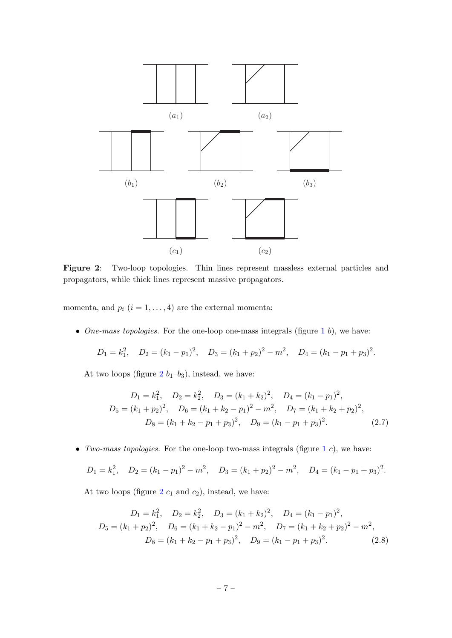<span id="page-7-0"></span>

Figure 2: Two-loop topologies. Thin lines represent massless external particles and propagators, while thick lines represent massive propagators.

momenta, and  $p_i$   $(i = 1, ..., 4)$  are the external momenta:

• One-mass topologies. For the one-loop one-mass integrals (figure  $1\,b$  $1\,b$ ), we have:

$$
D_1 = k_1^2
$$
,  $D_2 = (k_1 - p_1)^2$ ,  $D_3 = (k_1 + p_2)^2 - m^2$ ,  $D_4 = (k_1 - p_1 + p_3)^2$ .

At two loops (figure  $2 b_1-b_3$  $2 b_1-b_3$ ), instead, we have:

$$
D_1 = k_1^2, \quad D_2 = k_2^2, \quad D_3 = (k_1 + k_2)^2, \quad D_4 = (k_1 - p_1)^2,
$$
  
\n
$$
D_5 = (k_1 + p_2)^2, \quad D_6 = (k_1 + k_2 - p_1)^2 - m^2, \quad D_7 = (k_1 + k_2 + p_2)^2,
$$
  
\n
$$
D_8 = (k_1 + k_2 - p_1 + p_3)^2, \quad D_9 = (k_1 - p_1 + p_3)^2.
$$
\n(2.7)

• Two-mass topologies. For the one-loop two-mass integrals (figure  $1 c$  $1 c$ ), we have:

$$
D_1 = k_1^2
$$
,  $D_2 = (k_1 - p_1)^2 - m^2$ ,  $D_3 = (k_1 + p_2)^2 - m^2$ ,  $D_4 = (k_1 - p_1 + p_3)^2$ .

At two loops (figure  $2 c_1$  $2 c_1$  and  $c_2$ ), instead, we have:

$$
D_1 = k_1^2, \quad D_2 = k_2^2, \quad D_3 = (k_1 + k_2)^2, \quad D_4 = (k_1 - p_1)^2,
$$
  
\n
$$
D_5 = (k_1 + p_2)^2, \quad D_6 = (k_1 + k_2 - p_1)^2 - m^2, \quad D_7 = (k_1 + k_2 + p_2)^2 - m^2,
$$
  
\n
$$
D_8 = (k_1 + k_2 - p_1 + p_3)^2, \quad D_9 = (k_1 - p_1 + p_3)^2.
$$
\n(2.8)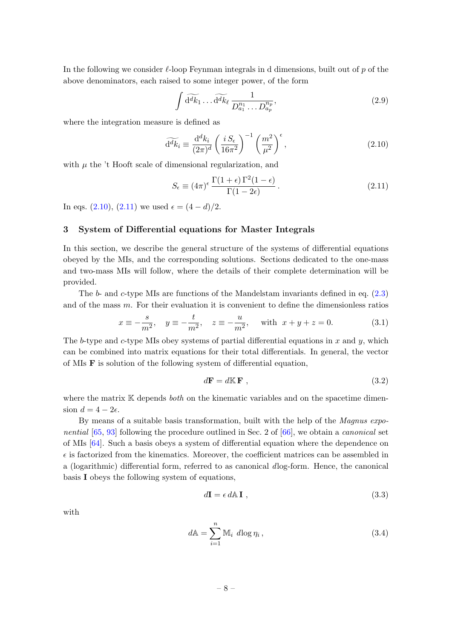In the following we consider  $\ell$ -loop Feynman integrals in d dimensions, built out of p of the above denominators, each raised to some integer power, of the form

$$
\int \widetilde{\mathrm{d}^d k_1} \dots \widetilde{\mathrm{d}^d k_\ell} \frac{1}{D_{a_1}^{n_1} \dots D_{a_p}^{n_p}},\tag{2.9}
$$

where the integration measure is defined as

<span id="page-8-1"></span>
$$
\widetilde{\mathrm{d}^d k_i} \equiv \frac{\mathrm{d}^d k_i}{(2\pi)^d} \left(\frac{i S_\epsilon}{16\pi^2}\right)^{-1} \left(\frac{m^2}{\mu^2}\right)^\epsilon,\tag{2.10}
$$

with  $\mu$  the 't Hooft scale of dimensional regularization, and

<span id="page-8-2"></span>
$$
S_{\epsilon} \equiv (4\pi)^{\epsilon} \frac{\Gamma(1+\epsilon)\Gamma^2(1-\epsilon)}{\Gamma(1-2\epsilon)}.
$$
\n(2.11)

In eqs. [\(2.10\)](#page-8-1), [\(2.11\)](#page-8-2) we used  $\epsilon = (4 - d)/2$ .

#### <span id="page-8-0"></span>3 System of Differential equations for Master Integrals

In this section, we describe the general structure of the systems of differential equations obeyed by the MIs, and the corresponding solutions. Sections dedicated to the one-mass and two-mass MIs will follow, where the details of their complete determination will be provided.

The b- and c-type MIs are functions of the Mandelstam invariants defined in eq. [\(2.3\)](#page-5-2) and of the mass  $m$ . For their evaluation it is convenient to define the dimensionless ratios

$$
x \equiv -\frac{s}{m^2}, \quad y \equiv -\frac{t}{m^2}, \quad z \equiv -\frac{u}{m^2}, \quad \text{with} \ \ x + y + z = 0.
$$
 (3.1)

The b-type and c-type MIs obey systems of partial differential equations in x and  $y$ , which can be combined into matrix equations for their total differentials. In general, the vector of MIs F is solution of the following system of differential equation,

<span id="page-8-5"></span>
$$
d\mathbf{F} = d\mathbb{K}\,\mathbf{F} \tag{3.2}
$$

where the matrix  $K$  depends *both* on the kinematic variables and on the spacetime dimension  $d = 4 - 2\epsilon$ .

By means of a suitable basis transformation, built with the help of the Magnus expo*nential*  $[65, 93]$  $[65, 93]$  $[65, 93]$  following the procedure outlined in Sec. 2 of  $[66]$ , we obtain a *canonical* set of MIs [\[64\]](#page-43-12). Such a basis obeys a system of differential equation where the dependence on  $\epsilon$  is factorized from the kinematics. Moreover, the coefficient matrices can be assembled in a (logarithmic) differential form, referred to as canonical dlog-form. Hence, the canonical basis I obeys the following system of equations,

<span id="page-8-4"></span><span id="page-8-3"></span>
$$
d\mathbf{I} = \epsilon \, d\mathbb{A} \, \mathbf{I} \;, \tag{3.3}
$$

with

$$
d\mathbb{A} = \sum_{i=1}^{n} \mathbb{M}_i \ d\log \eta_i, \qquad (3.4)
$$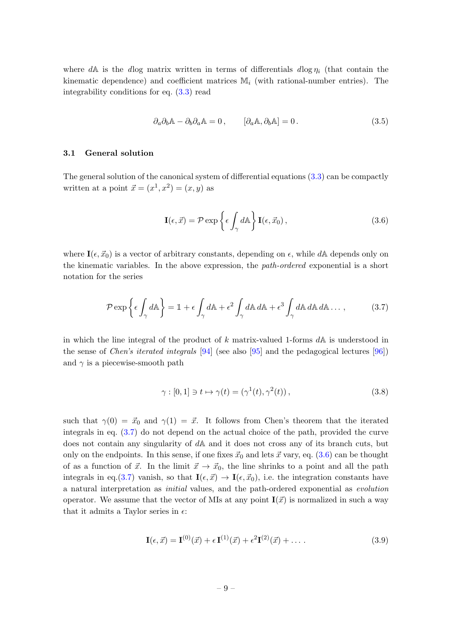where dA is the dlog matrix written in terms of differentials dlog  $\eta_i$  (that contain the kinematic dependence) and coefficient matrices  $\mathbb{M}_i$  (with rational-number entries). The integrability conditions for eq. [\(3.3\)](#page-8-3) read

$$
\partial_a \partial_b \mathbb{A} - \partial_b \partial_a \mathbb{A} = 0, \qquad [\partial_a \mathbb{A}, \partial_b \mathbb{A}] = 0. \tag{3.5}
$$

#### <span id="page-9-0"></span>3.1 General solution

The general solution of the canonical system of differential equations [\(3.3\)](#page-8-3) can be compactly written at a point  $\vec{x} = (x^1, x^2) = (x, y)$  as

<span id="page-9-2"></span><span id="page-9-1"></span>
$$
\mathbf{I}(\epsilon, \vec{x}) = \mathcal{P} \exp\left\{\epsilon \int_{\gamma} d\mathbb{A}\right\} \mathbf{I}(\epsilon, \vec{x}_0), \tag{3.6}
$$

where  $I(\epsilon, \vec{x}_0)$  is a vector of arbitrary constants, depending on  $\epsilon$ , while dA depends only on the kinematic variables. In the above expression, the path-ordered exponential is a short notation for the series

$$
\mathcal{P} \exp\left\{\epsilon \int_{\gamma} d\mathbb{A}\right\} = \mathbb{1} + \epsilon \int_{\gamma} d\mathbb{A} + \epsilon^2 \int_{\gamma} d\mathbb{A} d\mathbb{A} + \epsilon^3 \int_{\gamma} d\mathbb{A} d\mathbb{A} d\mathbb{A} \dots, \tag{3.7}
$$

in which the line integral of the product of k matrix-valued 1-forms  $dA$  is understood in the sense of *Chen's iterated integrals*  $[94]$  (see also  $[95]$  and the pedagogical lectures  $[96]$ ) and  $\gamma$  is a piecewise-smooth path

$$
\gamma : [0,1] \ni t \mapsto \gamma(t) = (\gamma^1(t), \gamma^2(t)), \qquad (3.8)
$$

such that  $\gamma(0) = \vec{x}_0$  and  $\gamma(1) = \vec{x}$ . It follows from Chen's theorem that the iterated integrals in eq. [\(3.7\)](#page-9-1) do not depend on the actual choice of the path, provided the curve does not contain any singularity of dA and it does not cross any of its branch cuts, but only on the endpoints. In this sense, if one fixes  $\vec{x}_0$  and lets  $\vec{x}$  vary, eq. [\(3.6\)](#page-9-2) can be thought of as a function of  $\vec{x}$ . In the limit  $\vec{x} \to \vec{x}_0$ , the line shrinks to a point and all the path integrals in eq.[\(3.7\)](#page-9-1) vanish, so that  $I(\epsilon, \vec{x}) \to I(\epsilon, \vec{x}_0)$ , i.e. the integration constants have a natural interpretation as initial values, and the path-ordered exponential as evolution operator. We assume that the vector of MIs at any point  $I(\vec{x})$  is normalized in such a way that it admits a Taylor series in  $\epsilon$ :

$$
\mathbf{I}(\epsilon, \vec{x}) = \mathbf{I}^{(0)}(\vec{x}) + \epsilon \mathbf{I}^{(1)}(\vec{x}) + \epsilon^2 \mathbf{I}^{(2)}(\vec{x}) + \dots
$$
\n(3.9)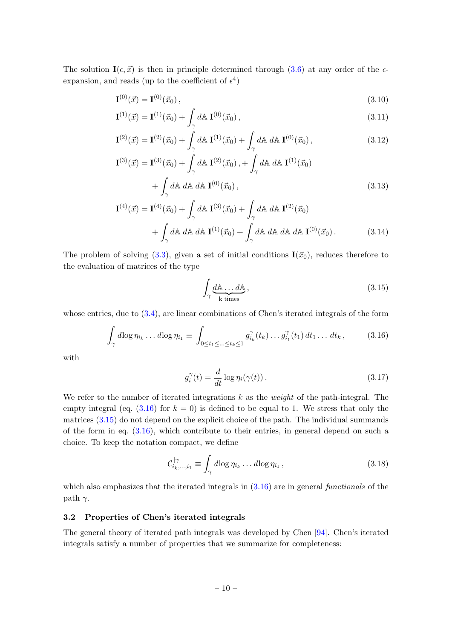The solution  $I(\epsilon, \vec{x})$  is then in principle determined through [\(3.6\)](#page-9-2) at any order of the  $\epsilon$ expansion, and reads (up to the coefficient of  $\epsilon^4$ )

$$
\mathbf{I}^{(0)}(\vec{x}) = \mathbf{I}^{(0)}(\vec{x}_0), \tag{3.10}
$$

$$
\mathbf{I}^{(1)}(\vec{x}) = \mathbf{I}^{(1)}(\vec{x}_0) + \int_{\gamma} d\mathbf{A} \, \mathbf{I}^{(0)}(\vec{x}_0) \,, \tag{3.11}
$$

$$
\mathbf{I}^{(2)}(\vec{x}) = \mathbf{I}^{(2)}(\vec{x}_0) + \int_{\gamma} d\mathbb{A} \mathbf{I}^{(1)}(\vec{x}_0) + \int_{\gamma} d\mathbb{A} \, d\mathbb{A} \mathbf{I}^{(0)}(\vec{x}_0) \,, \tag{3.12}
$$

$$
\mathbf{I}^{(3)}(\vec{x}) = \mathbf{I}^{(3)}(\vec{x}_0) + \int_{\gamma} d\mathbf{A} \mathbf{I}^{(2)}(\vec{x}_0) + \int_{\gamma} d\mathbf{A} d\mathbf{A} \mathbf{I}^{(1)}(\vec{x}_0) + \int_{\gamma} d\mathbf{A} d\mathbf{A} d\mathbf{A} \mathbf{I}^{(0)}(\vec{x}_0),
$$
\n(3.13)

$$
\mathbf{I}^{(4)}(\vec{x}) = \mathbf{I}^{(4)}(\vec{x}_0) + \int_{\gamma} d\mathbf{A} \mathbf{I}^{(3)}(\vec{x}_0) + \int_{\gamma} d\mathbf{A} d\mathbf{A} \mathbf{I}^{(2)}(\vec{x}_0) + \int_{\gamma} d\mathbf{A} d\mathbf{A} d\mathbf{A} \mathbf{I}^{(1)}(\vec{x}_0) + \int_{\gamma} d\mathbf{A} d\mathbf{A} d\mathbf{A} d\mathbf{A} d\mathbf{A} \mathbf{I}^{(0)}(\vec{x}_0).
$$
 (3.14)

The problem of solving [\(3.3\)](#page-8-3), given a set of initial conditions  $I(\vec{x}_0)$ , reduces therefore to the evaluation of matrices of the type

<span id="page-10-6"></span><span id="page-10-5"></span><span id="page-10-4"></span><span id="page-10-2"></span><span id="page-10-1"></span>
$$
\int_{\gamma} \underbrace{d\mathbb{A} \dots d\mathbb{A}}_{k \text{ times}},\tag{3.15}
$$

whose entries, due to [\(3.4\)](#page-8-4), are linear combinations of Chen's iterated integrals of the form

$$
\int_{\gamma} d\log \eta_{i_k} \dots d\log \eta_{i_1} \equiv \int_{0 \le t_1 \le \dots \le t_k \le 1} g_{i_k}^{\gamma}(t_k) \dots g_{i_1}^{\gamma}(t_1) dt_1 \dots dt_k, \qquad (3.16)
$$

with

<span id="page-10-3"></span>
$$
g_i^{\gamma}(t) = \frac{d}{dt} \log \eta_i(\gamma(t)). \qquad (3.17)
$$

We refer to the number of iterated integrations  $k$  as the *weight* of the path-integral. The empty integral (eq.  $(3.16)$ ) for  $k = 0$ ) is defined to be equal to 1. We stress that only the matrices [\(3.15\)](#page-10-2) do not depend on the explicit choice of the path. The individual summands of the form in eq. [\(3.16\)](#page-10-1), which contribute to their entries, in general depend on such a choice. To keep the notation compact, we define

$$
\mathcal{C}_{i_k,\dots,i_1}^{[\gamma]} \equiv \int_{\gamma} d\log \eta_{i_k} \dots d\log \eta_{i_1},\tag{3.18}
$$

which also emphasizes that the iterated integrals in  $(3.16)$  are in general functionals of the path  $\gamma$ .

#### <span id="page-10-0"></span>3.2 Properties of Chen's iterated integrals

The general theory of iterated path integrals was developed by Chen [\[94\]](#page-45-4). Chen's iterated integrals satisfy a number of properties that we summarize for completeness: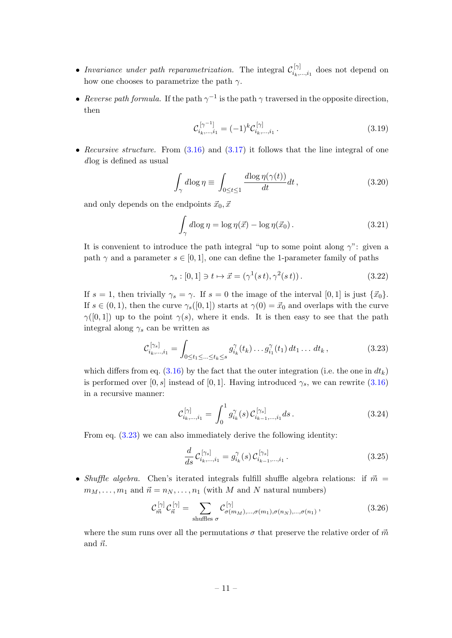- Invariance under path reparametrization. The integral  $\mathcal{C}_{i_k}^{[\gamma]}$  $\sum_{i_k,\ldots,i_1}^{\infty}$  does not depend on how one chooses to parametrize the path  $\gamma$ .
- Reverse path formula. If the path  $\gamma^{-1}$  is the path  $\gamma$  traversed in the opposite direction, then

<span id="page-11-2"></span>
$$
\mathcal{C}_{i_k,\dots,i_1}^{[\gamma^{-1}]} = (-1)^k \mathcal{C}_{i_k,\dots,i_1}^{[\gamma]} \,. \tag{3.19}
$$

• Recursive structure. From  $(3.16)$  and  $(3.17)$  it follows that the line integral of one dlog is defined as usual

$$
\int_{\gamma} d\log \eta \equiv \int_{0 \le t \le 1} \frac{d\log \eta(\gamma(t))}{dt} dt, \qquad (3.20)
$$

and only depends on the endpoints  $\vec{x}_0, \vec{x}$ 

$$
\int_{\gamma} d\log \eta = \log \eta(\vec{x}) - \log \eta(\vec{x}_0). \tag{3.21}
$$

It is convenient to introduce the path integral "up to some point along  $\gamma$ ": given a path  $\gamma$  and a parameter  $s \in [0, 1]$ , one can define the 1-parameter family of paths

$$
\gamma_s : [0,1] \ni t \mapsto \vec{x} = (\gamma^1(st), \gamma^2(st)). \tag{3.22}
$$

If  $s = 1$ , then trivially  $\gamma_s = \gamma$ . If  $s = 0$  the image of the interval [0, 1] is just  $\{\vec{x}_0\}$ . If  $s \in (0, 1)$ , then the curve  $\gamma_s([0, 1])$  starts at  $\gamma(0) = \vec{x}_0$  and overlaps with the curve  $\gamma([0,1])$  up to the point  $\gamma(s)$ , where it ends. It is then easy to see that the path integral along  $\gamma_s$  can be written as

$$
\mathcal{C}_{i_k,\dots,i_1}^{[\gamma_s]} = \int_{0 \le t_1 \le \dots \le t_k \le s} g_{i_k}^{\gamma}(t_k) \dots g_{i_1}^{\gamma}(t_1) dt_1 \dots dt_k , \qquad (3.23)
$$

which differs from eq.  $(3.16)$  by the fact that the outer integration (i.e. the one in  $dt_k$ ) is performed over [0, s] instead of [0, 1]. Having introduced  $\gamma_s$ , we can rewrite [\(3.16\)](#page-10-1) in a recursive manner:

<span id="page-11-0"></span>
$$
\mathcal{C}_{i_k,\dots,i_1}^{[\gamma]} = \int_0^1 g_{i_k}^{\gamma}(s) \, \mathcal{C}_{i_{k-1},\dots,i_1}^{[\gamma_s]} ds \,. \tag{3.24}
$$

From eq.  $(3.23)$  we can also immediately derive the following identity:

<span id="page-11-1"></span>
$$
\frac{d}{ds}\mathcal{C}_{i_k,\dots,i_1}^{[\gamma_s]} = g_{i_k}^{\gamma}(s)\mathcal{C}_{i_{k-1},\dots,i_1}^{[\gamma_s]}.
$$
\n(3.25)

• Shuffle algebra. Chen's iterated integrals fulfill shuffle algebra relations: if  $\vec{m}$  =  $m_M, \ldots, m_1$  and  $\vec{n} = n_N, \ldots, n_1$  (with M and N natural numbers)

$$
\mathcal{C}_{\vec{m}}^{[\gamma]} \mathcal{C}_{\vec{n}}^{[\gamma]} = \sum_{\text{shuffles } \sigma} \mathcal{C}_{\sigma(m_M), \dots, \sigma(m_1), \sigma(n_N), \dots, \sigma(n_1)}^{[\gamma]}, \tag{3.26}
$$

where the sum runs over all the permutations  $\sigma$  that preserve the relative order of  $\vec{m}$ and  $\vec{n}$ .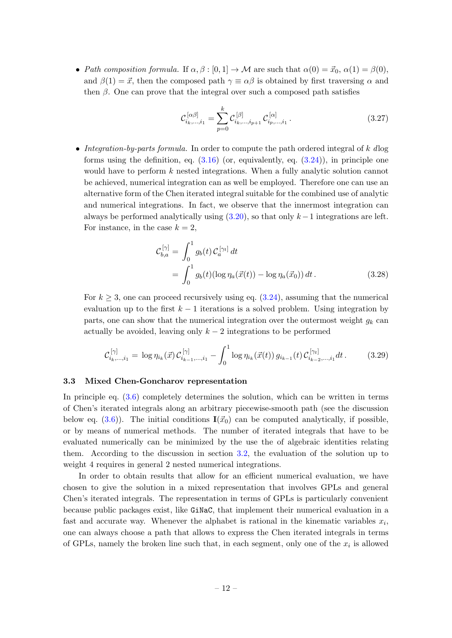• Path composition formula. If  $\alpha, \beta : [0, 1] \to \mathcal{M}$  are such that  $\alpha(0) = \vec{x}_0, \alpha(1) = \beta(0)$ , and  $\beta(1) = \vec{x}$ , then the composed path  $\gamma \equiv \alpha \beta$  is obtained by first traversing  $\alpha$  and then  $\beta$ . One can prove that the integral over such a composed path satisfies

$$
\mathcal{C}_{i_k,\dots,i_1}^{[\alpha\beta]} = \sum_{p=0}^{k} \mathcal{C}_{i_k,\dots,i_{p+1}}^{[\beta]} \mathcal{C}_{i_p,\dots,i_1}^{[\alpha]}.
$$
\n(3.27)

• Integration-by-parts formula. In order to compute the path ordered integral of  $k$  dlog forms using the definition, eq.  $(3.16)$  (or, equivalently, eq.  $(3.24)$ ), in principle one would have to perform  $k$  nested integrations. When a fully analytic solution cannot be achieved, numerical integration can as well be employed. Therefore one can use an alternative form of the Chen iterated integral suitable for the combined use of analytic and numerical integrations. In fact, we observe that the innermost integration can always be performed analytically using  $(3.20)$ , so that only  $k-1$  integrations are left. For instance, in the case  $k = 2$ ,

<span id="page-12-1"></span>
$$
\mathcal{C}_{b,a}^{[\gamma]} = \int_0^1 g_b(t) \mathcal{C}_a^{[\gamma_t]} dt \n= \int_0^1 g_b(t) (\log \eta_a(\vec{x}(t)) - \log \eta_a(\vec{x}_0)) dt.
$$
\n(3.28)

For  $k \geq 3$ , one can proceed recursively using eq.  $(3.24)$ , assuming that the numerical evaluation up to the first  $k - 1$  iterations is a solved problem. Using integration by parts, one can show that the numerical integration over the outermost weight  $g_k$  can actually be avoided, leaving only  $k-2$  integrations to be performed

$$
\mathcal{C}_{i_k,\dots,i_1}^{[\gamma]} = \log \eta_{i_k}(\vec{x}) \mathcal{C}_{i_{k-1},\dots,i_1}^{[\gamma]} - \int_0^1 \log \eta_{i_k}(\vec{x}(t)) g_{i_{k-1}}(t) \mathcal{C}_{i_{k-2},\dots,i_1}^{[\gamma_t]} dt.
$$
 (3.29)

#### <span id="page-12-0"></span>3.3 Mixed Chen-Goncharov representation

In principle eq. [\(3.6\)](#page-9-2) completely determines the solution, which can be written in terms of Chen's iterated integrals along an arbitrary piecewise-smooth path (see the discussion below eq. [\(3.6\)](#page-9-2)). The initial conditions  $\mathbf{I}(\vec{x}_0)$  can be computed analytically, if possible, or by means of numerical methods. The number of iterated integrals that have to be evaluated numerically can be minimized by the use the of algebraic identities relating them. According to the discussion in section [3.2,](#page-10-0) the evaluation of the solution up to weight 4 requires in general 2 nested numerical integrations.

In order to obtain results that allow for an efficient numerical evaluation, we have chosen to give the solution in a mixed representation that involves GPLs and general Chen's iterated integrals. The representation in terms of GPLs is particularly convenient because public packages exist, like GiNaC, that implement their numerical evaluation in a fast and accurate way. Whenever the alphabet is rational in the kinematic variables  $x_i$ , one can always choose a path that allows to express the Chen iterated integrals in terms of GPLs, namely the broken line such that, in each segment, only one of the  $x_i$  is allowed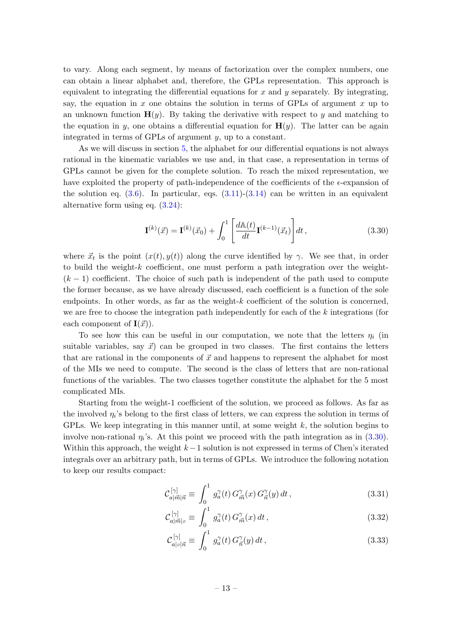to vary. Along each segment, by means of factorization over the complex numbers, one can obtain a linear alphabet and, therefore, the GPLs representation. This approach is equivalent to integrating the differential equations for  $x$  and  $y$  separately. By integrating, say, the equation in x one obtains the solution in terms of GPLs of argument x up to an unknown function  $\mathbf{H}(y)$ . By taking the derivative with respect to y and matching to the equation in y, one obtains a differential equation for  $H(y)$ . The latter can be again integrated in terms of GPLs of argument y, up to a constant.

As we will discuss in section [5,](#page-18-0) the alphabet for our differential equations is not always rational in the kinematic variables we use and, in that case, a representation in terms of GPLs cannot be given for the complete solution. To reach the mixed representation, we have exploited the property of path-independence of the coefficients of the  $\epsilon$ -expansion of the solution eq.  $(3.6)$ . In particular, eqs.  $(3.11)-(3.14)$  $(3.11)-(3.14)$  can be written in an equivalent alternative form using eq. [\(3.24\)](#page-11-1):

<span id="page-13-0"></span>
$$
\mathbf{I}^{(k)}(\vec{x}) = \mathbf{I}^{(k)}(\vec{x}_0) + \int_0^1 \left[ \frac{d\mathbb{A}(t)}{dt} \mathbf{I}^{(k-1)}(\vec{x}_t) \right] dt,
$$
\n(3.30)

where  $\vec{x}_t$  is the point  $(x(t), y(t))$  along the curve identified by  $\gamma$ . We see that, in order to build the weight-k coefficient, one must perform a path integration over the weight-  $(k-1)$  coefficient. The choice of such path is independent of the path used to compute the former because, as we have already discussed, each coefficient is a function of the sole endpoints. In other words, as far as the weight- $k$  coefficient of the solution is concerned, we are free to choose the integration path independently for each of the k integrations (for each component of  $I(\vec{x})$ .

To see how this can be useful in our computation, we note that the letters  $\eta_i$  (in suitable variables, say  $\vec{x}$  can be grouped in two classes. The first contains the letters that are rational in the components of  $\vec{x}$  and happens to represent the alphabet for most of the MIs we need to compute. The second is the class of letters that are non-rational functions of the variables. The two classes together constitute the alphabet for the 5 most complicated MIs.

Starting from the weight-1 coefficient of the solution, we proceed as follows. As far as the involved  $\eta_i$ 's belong to the first class of letters, we can express the solution in terms of GPLs. We keep integrating in this manner until, at some weight  $k$ , the solution begins to involve non-rational  $\eta_i$ 's. At this point we proceed with the path integration as in  $(3.30)$ . Within this approach, the weight  $k-1$  solution is not expressed in terms of Chen's iterated integrals over an arbitrary path, but in terms of GPLs. We introduce the following notation to keep our results compact:

$$
\mathcal{C}_{a|\vec{m}|\vec{n}}^{[\gamma]} \equiv \int_0^1 g_a^{\gamma}(t) G_{\vec{m}}^{\gamma}(x) G_{\vec{n}}^{\gamma}(y) dt , \qquad (3.31)
$$

$$
\mathcal{C}_{a|\vec{m}|_{\mathcal{P}}}^{[\gamma]} \equiv \int_0^1 g_a^{\gamma}(t) G_{\vec{m}}^{\gamma}(x) dt , \qquad (3.32)
$$

$$
\mathcal{C}_{a|z|\vec{n}}^{[\gamma]} \equiv \int_0^1 g_a^{\gamma}(t) G_{\vec{n}}^{\gamma}(y) dt , \qquad (3.33)
$$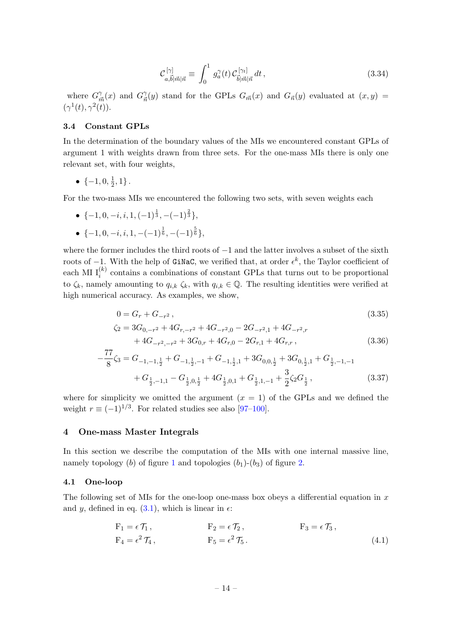$$
\mathcal{C}_{a,\vec{b}|\vec{m}|\vec{n}}^{[\gamma]} \equiv \int_0^1 g_a^{\gamma}(t) \mathcal{C}_{\vec{b}|\vec{m}|\vec{n}}^{[\gamma_t]} dt , \qquad (3.34)
$$

where  $G_{\vec{m}}^{\gamma}(x)$  and  $G_{\vec{n}}^{\gamma}(y)$  stand for the GPLs  $G_{\vec{m}}(x)$  and  $G_{\vec{n}}(y)$  evaluated at  $(x, y)$  =  $(\gamma^1(t), \gamma^2(t)).$ 

#### <span id="page-14-0"></span>3.4 Constant GPLs

In the determination of the boundary values of the MIs we encountered constant GPLs of argument 1 with weights drawn from three sets. For the one-mass MIs there is only one relevant set, with four weights,

• 
$$
\{-1, 0, \frac{1}{2}, 1\}
$$
.

For the two-mass MIs we encountered the following two sets, with seven weights each

- $\{-1, 0, -i, i, 1, (-1)^{\frac{1}{3}}, -(-1)^{\frac{2}{3}}\},\$
- $\{-1, 0, -i, i, 1, -(-1)^{\frac{1}{6}}, -(-1)^{\frac{5}{6}}\},\$

where the former includes the third roots of −1 and the latter involves a subset of the sixth roots of  $-1$ . With the help of GiNaC, we verified that, at order  $\epsilon^k$ , the Taylor coefficient of each MI  $I_i^{(k)}$  contains a combinations of constant GPLs that turns out to be proportional to  $\zeta_k$ , namely amounting to  $q_{i,k} \zeta_k$ , with  $q_{i,k} \in \mathbb{Q}$ . The resulting identities were verified at high numerical accuracy. As examples, we show,

$$
0 = G_r + G_{-r^2},
$$
\n
$$
\zeta_2 = 3G_{0,-r^2} + 4G_{r,-r^2} + 4G_{-r^2,0} - 2G_{-r^2,1} + 4G_{-r^2,r} + 4G_{-r^2,-r^2} + 3G_{0,r} + 4G_{r,0} - 2G_{r,1} + 4G_{r,r},
$$
\n(3.36)

$$
-\frac{77}{8}\zeta_3 = G_{-1,-1,\frac{1}{2}} + G_{-1,\frac{1}{2},-1} + G_{-1,\frac{1}{2},1} + 3G_{0,0,\frac{1}{2}} + 3G_{0,\frac{1}{2},1} + G_{\frac{1}{2},-1,-1} + G_{\frac{1}{2},-1,1} - G_{\frac{1}{2},0,\frac{1}{2}} + 4G_{\frac{1}{2},0,1} + G_{\frac{1}{2},1,-1} + \frac{3}{2}\zeta_2 G_{\frac{1}{2}},
$$
(3.37)

where for simplicity we omitted the argument  $(x = 1)$  of the GPLs and we defined the weight  $r \equiv (-1)^{1/3}$ . For related studies see also [\[97–](#page-45-7)[100\]](#page-45-8).

#### <span id="page-14-1"></span>4 One-mass Master Integrals

In this section we describe the computation of the MIs with one internal massive line, namely topology (b) of figure [1](#page-6-1) and topologies  $(b_1)-(b_3)$  of figure [2.](#page-7-0)

#### <span id="page-14-2"></span>4.1 One-loop

The following set of MIs for the one-loop one-mass box obeys a differential equation in  $x$ and y, defined in eq.  $(3.1)$ , which is linear in  $\epsilon$ :

$$
F_1 = \epsilon \mathcal{T}_1, \qquad F_2 = \epsilon \mathcal{T}_2, \qquad F_3 = \epsilon \mathcal{T}_3,
$$
  
\n
$$
F_4 = \epsilon^2 \mathcal{T}_4, \qquad F_5 = \epsilon^2 \mathcal{T}_5.
$$
\n(4.1)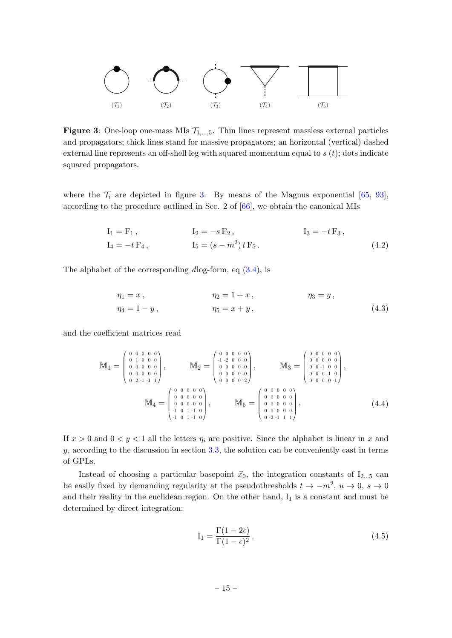<span id="page-15-0"></span>

**Figure 3:** One-loop one-mass MIs  $\mathcal{T}_{1,\dots,5}$ . Thin lines represent massless external particles and propagators; thick lines stand for massive propagators; an horizontal (vertical) dashed external line represents an off-shell leg with squared momentum equal to  $s(t)$ ; dots indicate squared propagators.

where the  $\mathcal{T}_i$  are depicted in figure [3.](#page-15-0) By means of the Magnus exponential [\[65,](#page-43-13) [93\]](#page-45-3), according to the procedure outlined in Sec. 2 of [\[66\]](#page-43-14), we obtain the canonical MIs

$$
I_1 = F_1, \t I_2 = -s F_2, \t I_3 = -t F_3, \nI_4 = -t F_4, \t I_5 = (s - m^2) t F_5.
$$
\n(4.2)

The alphabet of the corresponding  $dlog-form$ , eq  $(3.4)$ , is

<span id="page-15-1"></span>
$$
\eta_1 = x, \qquad \eta_2 = 1 + x, \qquad \eta_3 = y, \n\eta_4 = 1 - y, \qquad \eta_5 = x + y, \qquad (4.3)
$$

and the coefficient matrices read

$$
\mathbb{M}_{1} = \begin{pmatrix} 0 & 0 & 0 & 0 & 0 \\ 0 & 1 & 0 & 0 & 0 \\ 0 & 0 & 0 & 0 & 0 \\ 0 & 0 & 0 & 0 & 0 \\ 0 & 2 & -1 & -1 & 1 \end{pmatrix}, \qquad \mathbb{M}_{2} = \begin{pmatrix} 0 & 0 & 0 & 0 & 0 \\ -1 & -2 & 0 & 0 & 0 \\ 0 & 0 & 0 & 0 & 0 \\ 0 & 0 & 0 & 0 & 0 \\ 0 & 0 & 0 & 0 & 0 \\ 0 & 0 & 0 & 0 & 2 \end{pmatrix}, \qquad \mathbb{M}_{3} = \begin{pmatrix} 0 & 0 & 0 & 0 & 0 \\ 0 & 0 & 0 & 0 & 0 \\ 0 & 0 & 1 & 0 & 0 \\ 0 & 0 & 0 & 1 & 0 \\ 0 & 0 & 0 & 0 & 1 \end{pmatrix}, \qquad \mathbb{M}_{4} = \begin{pmatrix} 0 & 0 & 0 & 0 & 0 \\ 0 & 0 & 0 & 0 & 0 \\ 0 & 0 & 0 & 0 & 0 \\ -1 & 0 & 1 & -1 & 0 \\ -1 & 0 & 1 & -1 & 0 \end{pmatrix}, \qquad \mathbb{M}_{5} = \begin{pmatrix} 0 & 0 & 0 & 0 & 0 \\ 0 & 0 & 0 & 0 & 0 \\ 0 & 0 & 0 & 0 & 0 \\ 0 & 0 & 0 & 0 & 0 \\ 0 & 0 & 0 & 0 & 0 \\ 0 & -2 & -1 & 1 & 1 \end{pmatrix}.
$$
\n
$$
(4.4)
$$

If  $x > 0$  and  $0 < y < 1$  all the letters  $\eta_i$  are positive. Since the alphabet is linear in x and  $y$ , according to the discussion in section [3.3,](#page-12-0) the solution can be conveniently cast in terms of GPLs.

Instead of choosing a particular basepoint  $\vec{x}_0$ , the integration constants of I<sub>2...5</sub> can be easily fixed by demanding regularity at the pseudothresholds  $t \to -m^2$ ,  $u \to 0$ ,  $s \to 0$ and their reality in the euclidean region. On the other hand,  $I_1$  is a constant and must be determined by direct integration:

$$
I_1 = \frac{\Gamma(1 - 2\epsilon)}{\Gamma(1 - \epsilon)^2}.
$$
\n(4.5)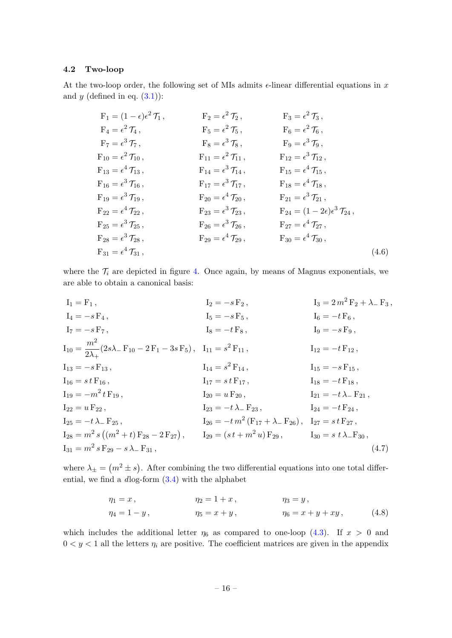#### <span id="page-16-0"></span>4.2 Two-loop

At the two-loop order, the following set of MIs admits  $\epsilon$ -linear differential equations in x and  $y$  (defined in eq.  $(3.1)$ ):

F<sub>1</sub> = (1 - 
$$
\epsilon
$$
) $\epsilon^2$  T<sub>1</sub>,  
\nF<sub>2</sub> =  $\epsilon^2$  T<sub>2</sub>,  
\nF<sub>3</sub> =  $\epsilon^2$  T<sub>3</sub>,  
\nF<sub>4</sub> =  $\epsilon^2$  T<sub>4</sub>,  
\nF<sub>5</sub> =  $\epsilon^2$  T<sub>5</sub>,  
\nF<sub>6</sub> =  $\epsilon^2$  T<sub>6</sub>,  
\nF<sub>7</sub> =  $\epsilon^3$  T<sub>7</sub>,  
\nF<sub>10</sub> =  $\epsilon^2$  T<sub>10</sub>,  
\nF<sub>11</sub> =  $\epsilon^2$  T<sub>11</sub>,  
\nF<sub>12</sub> =  $\epsilon^3$  T<sub>12</sub>,  
\nF<sub>13</sub> =  $\epsilon^4$  T<sub>13</sub>,  
\nF<sub>16</sub> =  $\epsilon^3$  T<sub>16</sub>,  
\nF<sub>17</sub> =  $\epsilon^3$  T<sub>17</sub>,  
\nF<sub>18</sub> =  $\epsilon^4$  T<sub>15</sub>,  
\nF<sub>19</sub> =  $\epsilon^3$  T<sub>19</sub>,  
\nF<sub>20</sub> =  $\epsilon^4$  T<sub>20</sub>,  
\nF<sub>21</sub> =  $\epsilon^3$  T<sub>21</sub>,  
\nF<sub>22</sub> =  $\epsilon^4$  T<sub>22</sub>,  
\nF<sub>23</sub> =  $\epsilon^3$  T<sub>23</sub>,  
\nF<sub>24</sub> = (1 - 2 $\epsilon$ ) $\epsilon^3$  T<sub>24</sub>,  
\nF<sub>25</sub> =  $\epsilon^3$  T<sub>25</sub>,  
\nF<sub>28</sub> =  $\epsilon^3$  T<sub>28</sub>,  
\nF<sub>29</sub> =  $\epsilon^4$  T<sub>29</sub>,  
\nF<sub>31</sub> =  $\epsilon^4$  T<

where the  $\mathcal{T}_i$  are depicted in figure [4.](#page-17-0) Once again, by means of Magnus exponentials, we are able to obtain a canonical basis:

$$
I_{1} = F_{1}, \tI_{2} = -s F_{2}, \tI_{3} = 2m^{2} F_{2} + \lambda_{-} F_{3},
$$
  
\n
$$
I_{4} = -s F_{4}, \tI_{5} = -s F_{5}, \tI_{6} = -t F_{6},
$$
  
\n
$$
I_{7} = -s F_{7}, \tI_{8} = -t F_{8}, \tI_{9} = -s F_{9},
$$
  
\n
$$
I_{10} = \frac{m^{2}}{2\lambda_{+}} (2s\lambda_{-} F_{10} - 2F_{1} - 3s F_{5}), \tI_{11} = s^{2} F_{11}, \tI_{12} = -t F_{12},
$$
  
\n
$$
I_{13} = -s F_{13}, \tI_{14} = s^{2} F_{14}, \tI_{15} = -s F_{15},
$$
  
\n
$$
I_{16} = s t F_{16}, \tI_{17} = s t F_{17}, \tI_{18} = -t F_{18},
$$
  
\n
$$
I_{19} = -m^{2} t F_{19}, \tI_{20} = u F_{20}, \tI_{21} = -t \lambda_{-} F_{21},
$$
  
\n
$$
I_{22} = u F_{22}, \tI_{23} = -t \lambda_{-} F_{23}, \tI_{24} = -t F_{24},
$$
  
\n
$$
I_{25} = -t \lambda_{-} F_{25}, \tI_{26} = -t m^{2} (F_{17} + \lambda_{-} F_{26}), \tI_{27} = s t F_{27},
$$
  
\n
$$
I_{30} = s t \lambda_{-} F_{30},
$$
  
\n
$$
I_{31} = m^{2} s F_{29} - s \lambda_{-} F_{31},
$$
  
\n(4.7)

where  $\lambda_{\pm} = (m^2 \pm s)$ . After combining the two differential equations into one total differential, we find a dlog-form [\(3.4\)](#page-8-4) with the alphabet

$$
\eta_1 = x, \qquad \eta_2 = 1 + x, \qquad \eta_3 = y, \n\eta_4 = 1 - y, \qquad \eta_5 = x + y, \qquad \eta_6 = x + y + xy, \qquad (4.8)
$$

which includes the additional letter  $\eta_6$  as compared to one-loop [\(4.3\)](#page-15-1). If  $x > 0$  and  $0 < y < 1$  all the letters  $\eta_i$  are positive. The coefficient matrices are given in the appendix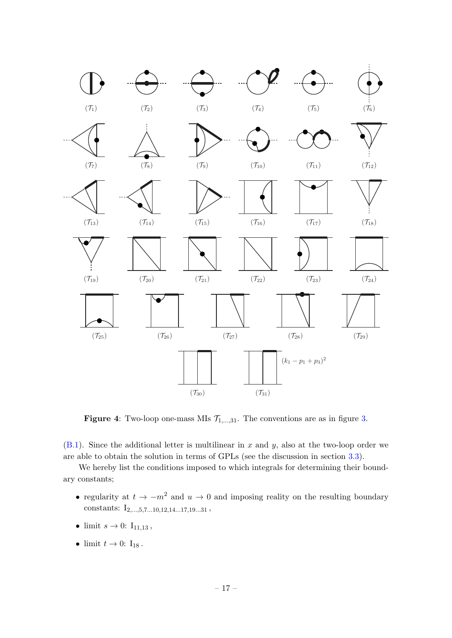<span id="page-17-0"></span>

**Figure 4:** Two-loop one-mass MIs  $\mathcal{T}_{1,\dots,31}$ . The conventions are as in figure [3.](#page-15-0)

 $(B.1)$ . Since the additional letter is multilinear in x and y, also at the two-loop order we are able to obtain the solution in terms of GPLs (see the discussion in section [3.3\)](#page-12-0).

We hereby list the conditions imposed to which integrals for determining their boundary constants;

- regularity at  $t \to -m^2$  and  $u \to 0$  and imposing reality on the resulting boundary constants:  $\mathrm{I}_{2,\dots,5,7\dots10,12,14\dots17,19\dots31}$  ,
- limit  $s \to 0$ :  $I_{11,13}$ ,
- limit  $t \to 0$ :  $I_{18}$ .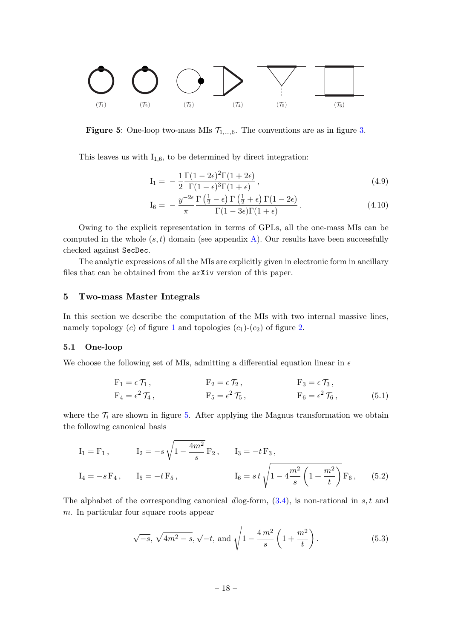<span id="page-18-2"></span>

**Figure 5:** One-loop two-mass MIs  $\mathcal{T}_{1,\dots,6}$ . The conventions are as in figure [3.](#page-15-0)

This leaves us with  $I_{1,6}$ , to be determined by direct integration:

$$
I_1 = -\frac{1}{2} \frac{\Gamma(1 - 2\epsilon)^2 \Gamma(1 + 2\epsilon)}{\Gamma(1 - \epsilon)^3 \Gamma(1 + \epsilon)},
$$
\n(4.9)

$$
I_6 = -\frac{y^{-2\epsilon}}{\pi} \frac{\Gamma(\frac{1}{2} - \epsilon) \Gamma(\frac{1}{2} + \epsilon) \Gamma(1 - 2\epsilon)}{\Gamma(1 - 3\epsilon) \Gamma(1 + \epsilon)}.
$$
\n(4.10)

Owing to the explicit representation in terms of GPLs, all the one-mass MIs can be computed in the whole  $(s, t)$  domain (see appendix [A\)](#page-25-0). Our results have been successfully checked against SecDec.

The analytic expressions of all the MIs are explicitly given in electronic form in ancillary files that can be obtained from the arXiv version of this paper.

# <span id="page-18-0"></span>5 Two-mass Master Integrals

In this section we describe the computation of the MIs with two internal massive lines, namely topology  $(c)$  of figure [1](#page-6-1) and topologies  $(c_1)-(c_2)$  of figure [2.](#page-7-0)

#### <span id="page-18-1"></span>5.1 One-loop

We choose the following set of MIs, admitting a differential equation linear in  $\epsilon$ 

$$
F_1 = \epsilon \mathcal{T}_1, \qquad F_2 = \epsilon \mathcal{T}_2, \qquad F_3 = \epsilon \mathcal{T}_3, F_4 = \epsilon^2 \mathcal{T}_4, \qquad F_5 = \epsilon^2 \mathcal{T}_5, \qquad F_6 = \epsilon^2 \mathcal{T}_6,
$$
 (5.1)

where the  $\mathcal{T}_i$  are shown in figure [5.](#page-18-2) After applying the Magnus transformation we obtain the following canonical basis

$$
I_1 = F_1, \t I_2 = -s\sqrt{1 - \frac{4m^2}{s}} F_2, \t I_3 = -t F_3,
$$
  
\n
$$
I_4 = -s F_4, \t I_5 = -t F_5, \t I_6 = s t \sqrt{1 - 4\frac{m^2}{s} \left(1 + \frac{m^2}{t}\right)} F_6, \t (5.2)
$$

The alphabet of the corresponding canonical dlog-form,  $(3.4)$ , is non-rational in s, t and m. In particular four square roots appear

<span id="page-18-3"></span>
$$
\sqrt{-s}
$$
,  $\sqrt{4m^2 - s}$ ,  $\sqrt{-t}$ , and  $\sqrt{1 - \frac{4m^2}{s} \left(1 + \frac{m^2}{t}\right)}$ . (5.3)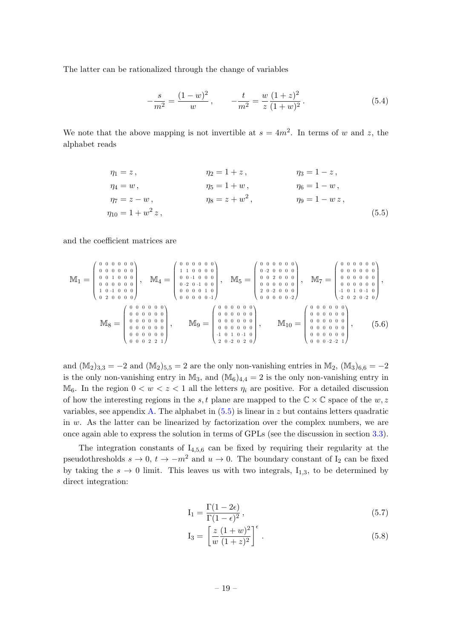The latter can be rationalized through the change of variables

<span id="page-19-1"></span><span id="page-19-0"></span>
$$
-\frac{s}{m^2} = \frac{(1-w)^2}{w}, \qquad -\frac{t}{m^2} = \frac{w}{z} \frac{(1+z)^2}{(1+w)^2}.
$$
 (5.4)

We note that the above mapping is not invertible at  $s = 4m^2$ . In terms of w and z, the alphabet reads

$$
\eta_1 = z, \qquad \eta_2 = 1 + z, \qquad \eta_3 = 1 - z, \n\eta_4 = w, \qquad \eta_5 = 1 + w, \qquad \eta_6 = 1 - w, \n\eta_7 = z - w, \qquad \eta_8 = z + w^2, \qquad \eta_9 = 1 - wz, \n\eta_{10} = 1 + w^2 z,
$$
\n(5.5)

and the coefficient matrices are

$$
\mathbb{M}_{1} = \begin{pmatrix} 0 & 0 & 0 & 0 & 0 & 0 \\ 0 & 0 & 0 & 0 & 0 & 0 \\ 0 & 0 & 1 & 0 & 0 & 0 \\ 0 & 0 & 0 & 0 & 0 & 0 \\ 1 & 0 & -1 & 0 & 0 & 0 \\ 0 & 2 & 0 & 0 & 0 & 0 \end{pmatrix}, \quad \mathbb{M}_{4} = \begin{pmatrix} 0 & 0 & 0 & 0 & 0 & 0 \\ 1 & 1 & 0 & 0 & 0 & 0 \\ 0 & 0 & -1 & 0 & 0 & 0 \\ 0 & -2 & 0 & -1 & 0 & 0 \\ 0 & 0 & 0 & 0 & 1 & 0 \\ 0 & 0 & 0 & 0 & 0 & 1 \end{pmatrix}, \quad \mathbb{M}_{5} = \begin{pmatrix} 0 & 0 & 0 & 0 & 0 & 0 \\ 0 & -2 & 0 & 0 & 0 & 0 \\ 0 & 0 & 2 & 0 & 0 & 0 \\ 0 & 0 & 0 & 0 & 0 & 0 \\ 0 & 0 & 0 & 0 & 0 & 0 \\ 0 & 0 & 0 & 0 & 0 & 0 \end{pmatrix}, \quad \mathbb{M}_{9} = \begin{pmatrix} 0 & 0 & 0 & 0 & 0 & 0 \\ 0 & -2 & 0 & 0 & 0 & 0 \\ 0 & 0 & 0 & 0 & 0 & 0 \\ 0 & 0 & 0 & 0 & 0 & 0 \\ 0 & 0 & 0 & 0 & 0 & 0 \\ 0 & 0 & 0 & 0 & 0 & 0 \\ 0 & 0 & 0 & 0 & 0 & 0 \\ 0 & 0 & 0 & 0 & 0 & 0 \end{pmatrix}, \quad \mathbb{M}_{10} = \begin{pmatrix} 0 & 0 & 0 & 0 & 0 & 0 \\ 0 & 0 & 0 & 0 & 0 & 0 \\ 0 & 0 & 0 & 0 & 0 & 0 \\ 0 & 0 & 0 & 0 & 0 & 0 \\ 0 & 0 & 0 & 0 & 0 & 0 \\ 0 & 0 & 0 & 0 & 0 & 0 \\ 0 & 0 & 0 & 0 & 0 & 0 \\ 0 & 0 & 0 & 0 & 0 & 0 \end{pmatrix}, \quad (5.6)
$$

and  $(\mathbb{M}_2)_{3,3} = -2$  and  $(\mathbb{M}_2)_{5,5} = 2$  are the only non-vanishing entries in  $\mathbb{M}_2$ ,  $(\mathbb{M}_3)_{6,6} = -2$ is the only non-vanishing entry in  $\mathbb{M}_3$ , and  $(\mathbb{M}_6)_{4,4} = 2$  is the only non-vanishing entry in  $M_6$ . In the region  $0 < w < z < 1$  all the letters  $\eta_i$  are positive. For a detailed discussion of how the interesting regions in the s, t plane are mapped to the  $\mathbb{C} \times \mathbb{C}$  space of the w, z variables, see appendix [A.](#page-25-0) The alphabet in  $(5.5)$  is linear in z but contains letters quadratic in  $w$ . As the latter can be linearized by factorization over the complex numbers, we are once again able to express the solution in terms of GPLs (see the discussion in section [3.3\)](#page-12-0).

The integration constants of  $I_{4,5,6}$  can be fixed by requiring their regularity at the pseudothresholds  $s \to 0$ ,  $t \to -m^2$  and  $u \to 0$ . The boundary constant of I<sub>2</sub> can be fixed by taking the  $s \to 0$  limit. This leaves us with two integrals,  $I_{1,3}$ , to be determined by direct integration:

$$
I_1 = \frac{\Gamma(1 - 2\epsilon)}{\Gamma(1 - \epsilon)^2},\tag{5.7}
$$

$$
I_3 = \left[\frac{z}{w} \frac{(1+w)^2}{(1+z)^2}\right]^{\epsilon}.
$$
\n(5.8)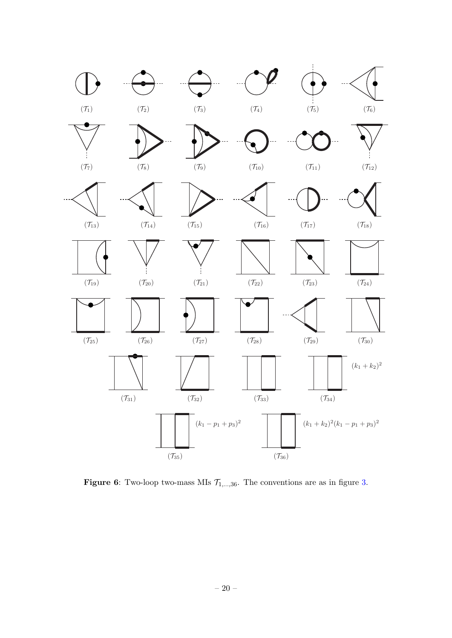<span id="page-20-1"></span>

<span id="page-20-0"></span>**Figure 6:** Two-loop two-mass MIs  $\mathcal{T}_{1,\dots,36}$ . The conventions are as in figure [3.](#page-15-0)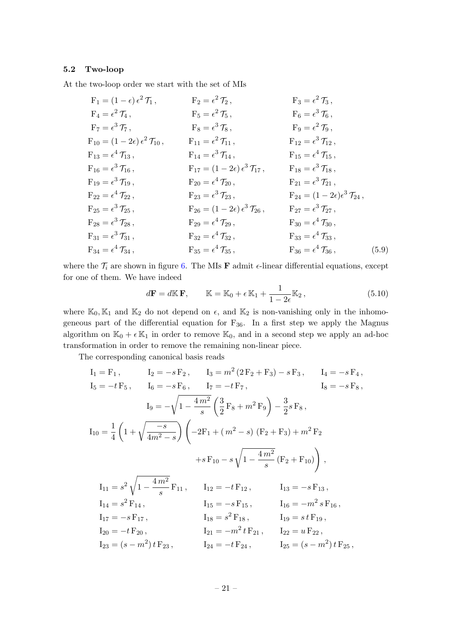#### 5.2 Two-loop

At the two-loop order we start with the set of MIs

F<sub>1</sub> = (1 - 
$$
\epsilon
$$
)  $\epsilon^2$  T<sub>1</sub>,  
\nF<sub>2</sub> =  $\epsilon^2$  T<sub>2</sub>,  
\nF<sub>3</sub> =  $\epsilon^2$  T<sub>3</sub>,  
\nF<sub>4</sub> =  $\epsilon^2$  T<sub>4</sub>,  
\nF<sub>7</sub> =  $\epsilon^3$  T<sub>7</sub>,  
\nF<sub>8</sub> =  $\epsilon^3$  T<sub>8</sub>,  
\nF<sub>9</sub> =  $\epsilon^2$  T<sub>9</sub>,  
\nF<sub>10</sub> = (1 - 2 $\epsilon$ )  $\epsilon^2$  T<sub>10</sub>,  
\nF<sub>11</sub> =  $\epsilon^2$  T<sub>11</sub>,  
\nF<sub>12</sub> =  $\epsilon^3$  T<sub>12</sub>,  
\nF<sub>13</sub> =  $\epsilon^4$  T<sub>13</sub>,  
\nF<sub>16</sub> =  $\epsilon^3$  T<sub>16</sub>,  
\nF<sub>17</sub> = (1 - 2 $\epsilon$ )  $\epsilon^3$  T<sub>17</sub>,  
\nF<sub>18</sub> =  $\epsilon^3$  T<sub>18</sub>,  
\nF<sub>19</sub> =  $\epsilon^3$  T<sub>19</sub>,  
\nF<sub>20</sub> =  $\epsilon^4$  T<sub>20</sub>,  
\nF<sub>21</sub> =  $\epsilon^3$  T<sub>18</sub>,  
\nF<sub>22</sub> =  $\epsilon^4$  T<sub>22</sub>,  
\nF<sub>23</sub> =  $\epsilon^3$  T<sub>23</sub>,  
\nF<sub>24</sub> = (1 - 2 $\epsilon$ )  $\epsilon^3$  T<sub>21</sub>,  
\nF<sub>25</sub> =  $\epsilon^3$  T<sub>25</sub>,  
\nF<sub>26</sub> = (1 - 2 $\epsilon$ )  $\epsilon^3$  T<sub>26</sub>,  
\nF<sub>30</sub> =  $\epsilon^4$ 

where the  $\mathcal{T}_i$  are shown in figure [6.](#page-20-1) The MIs **F** admit  $\epsilon$ -linear differential equations, except for one of them. We have indeed

$$
d\mathbf{F} = d\mathbb{K}\,\mathbf{F}, \qquad \mathbb{K} = \mathbb{K}_0 + \epsilon \,\mathbb{K}_1 + \frac{1}{1 - 2\epsilon} \mathbb{K}_2 \,, \tag{5.10}
$$

where  $\mathbb{K}_0, \mathbb{K}_1$  and  $\mathbb{K}_2$  do not depend on  $\epsilon$ , and  $\mathbb{K}_2$  is non-vanishing only in the inhomogeneous part of the differential equation for  $F_{36}$ . In a first step we apply the Magnus algorithm on  $\mathbb{K}_0 + \epsilon \mathbb{K}_1$  in order to remove  $\mathbb{K}_0$ , and in a second step we apply an ad-hoc transformation in order to remove the remaining non-linear piece.

The corresponding canonical basis reads

$$
I_1 = F_1, \tI_2 = -s F_2, \tI_3 = m^2 (2F_2 + F_3) - s F_3, \tI_4 = -s F_4,
$$
  
\n
$$
I_5 = -t F_5, \tI_6 = -s F_6, \tI_7 = -t F_7, \tI_8 = -s F_8,
$$
  
\n
$$
I_9 = -\sqrt{1 - \frac{4m^2}{s}} \left(\frac{3}{2} F_8 + m^2 F_9\right) - \frac{3}{2} s F_8,
$$
  
\n
$$
I_{10} = \frac{1}{4} \left(1 + \sqrt{\frac{-s}{4m^2 - s}}\right) \left(-2F_1 + (m^2 - s) (F_2 + F_3) + m^2 F_2\right)
$$
  
\n
$$
+s F_{10} - s \sqrt{1 - \frac{4m^2}{s}} (F_2 + F_{10})\right),
$$
  
\n
$$
I_{11} = s^2 \sqrt{1 - \frac{4m^2}{s}} F_{11}, \tI_{12} = -t F_{12}, \tI_{13} = -s F_{13},
$$
  
\n
$$
I_{14} = s^2 F_{14}, \tI_{15} = -s F_{15}, \tI_{16} = -m^2 s F_{16},
$$
  
\n
$$
I_{17} = -s F_{17}, \tI_{18} = s^2 F_{18}, \tI_{19} = s t F_{19},
$$
  
\n
$$
I_{20} = -t F_{20}, \tI_{21} = -m^2 t F_{21}, \tI_{22} = u F_{22},
$$
  
\n
$$
I_{23} = (s - m^2) t F_{23}, \tI_{24} = -t F_{24}, \tI_{25} = (s - m^2) t F_{25},
$$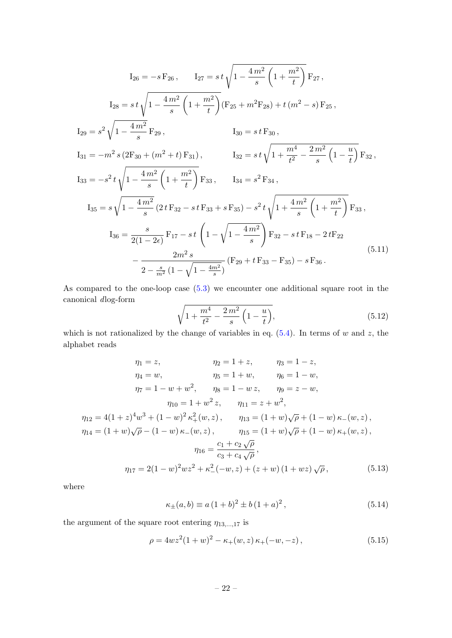$$
I_{26} = -s F_{26}, \qquad I_{27} = st \sqrt{1 - \frac{4m^2}{s} \left(1 + \frac{m^2}{t}\right)} F_{27},
$$
  
\n
$$
I_{28} = st \sqrt{1 - \frac{4m^2}{s} \left(1 + \frac{m^2}{t}\right)} (F_{25} + m^2 F_{28}) + t (m^2 - s) F_{25},
$$
  
\n
$$
I_{29} = s^2 \sqrt{1 - \frac{4m^2}{s}} F_{29}, \qquad I_{30} = st F_{30},
$$
  
\n
$$
I_{31} = -m^2 s (2F_{30} + (m^2 + t) F_{31}), \qquad I_{32} = st \sqrt{1 + \frac{m^4}{t^2} - \frac{2m^2}{s} \left(1 - \frac{u}{t}\right)} F_{32},
$$
  
\n
$$
I_{33} = -s^2 t \sqrt{1 - \frac{4m^2}{s} \left(1 + \frac{m^2}{t}\right)} F_{33}, \qquad I_{34} = s^2 F_{34},
$$
  
\n
$$
I_{35} = s \sqrt{1 - \frac{4m^2}{s} \left(2t F_{32} - st F_{33} + s F_{35}\right) - s^2 t \sqrt{1 + \frac{4m^2}{s} \left(1 + \frac{m^2}{t}\right)} F_{33},
$$
  
\n
$$
I_{36} = \frac{s}{2(1 - 2\epsilon)} F_{17} - st \left(1 - \sqrt{1 - \frac{4m^2}{s}}\right) F_{32} - st F_{18} - 2t F_{22}
$$
  
\n
$$
- \frac{2m^2 s}{2 - \frac{s}{m^2} \left(1 - \sqrt{1 - \frac{4m^2}{s}}\right)} (F_{29} + t F_{33} - F_{35}) - s F_{36}.
$$
  
\n(5.11)

As compared to the one-loop case [\(5.3\)](#page-18-3) we encounter one additional square root in the canonical dlog-form

$$
\sqrt{1 + \frac{m^4}{t^2} - \frac{2m^2}{s} \left(1 - \frac{u}{t}\right)},\tag{5.12}
$$

which is not rationalized by the change of variables in eq.  $(5.4)$ . In terms of w and z, the alphabet reads

$$
\eta_1 = z, \qquad \eta_2 = 1 + z, \qquad \eta_3 = 1 - z, \n\eta_4 = w, \qquad \eta_5 = 1 + w, \qquad \eta_6 = 1 - w, \n\eta_7 = 1 - w + w^2, \qquad \eta_8 = 1 - wz, \qquad \eta_9 = z - w, \n\eta_{10} = 1 + w^2 z, \qquad \eta_{11} = z + w^2, \n\eta_{12} = 4(1 + z)^4 w^3 + (1 - w)^2 \kappa_+^2(w, z), \qquad \eta_{13} = (1 + w)\sqrt{\rho} + (1 - w) \kappa_-(w, z), \n\eta_{14} = (1 + w)\sqrt{\rho} - (1 - w) \kappa_-(w, z), \qquad \eta_{15} = (1 + w)\sqrt{\rho} + (1 - w) \kappa_+(w, z), \n\eta_{16} = \frac{c_1 + c_2 \sqrt{\rho}}{c_3 + c_4 \sqrt{\rho}}, \n\eta_{17} = 2(1 - w)^2 wz^2 + \kappa_-^2(-w, z) + (z + w)(1 + wz)\sqrt{\rho},
$$
\n(5.13)

where

<span id="page-22-0"></span>
$$
\kappa_{\pm}(a,b) \equiv a\,(1+b)^2 \pm b\,(1+a)^2\,,\tag{5.14}
$$

the argument of the square root entering  $\eta_{13,\dots,17}$  is

$$
\rho = 4wz^{2}(1+w)^{2} - \kappa_{+}(w,z)\kappa_{+}(-w,-z), \qquad (5.15)
$$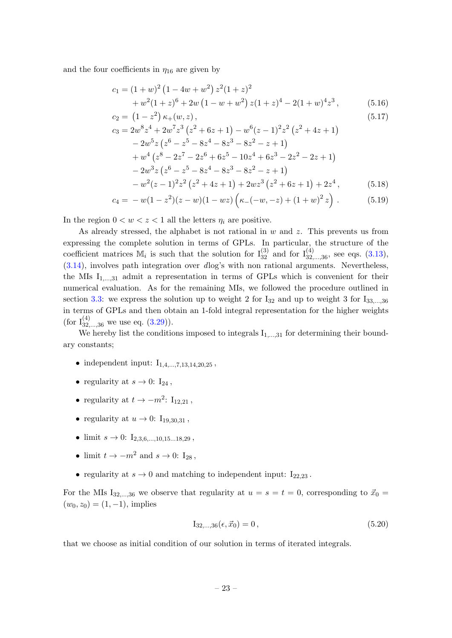and the four coefficients in  $\eta_{16}$  are given by

$$
c_1 = (1+w)^2 (1-4w+w^2) z^2 (1+z)^2 + w^2 (1+z)^6 + 2w (1-w+w^2) z(1+z)^4 - 2(1+w)^4 z^3,
$$
(5.16)

$$
c_2 = (1 - z^2) \kappa_+(w, z),
$$
  
\n
$$
c_2 = 2w^8 z^4 + 2w^7 z^3 (z^2 + 6z + 1) - w^6 (z - 1)^2 z^2 (z^2 + 4z + 1)
$$
\n(5.17)

$$
c_3 = 2w^8 z^4 + 2w^7 z^3 (z^2 + 6z + 1) - w^6 (z - 1)^2 z^2 (z^2 + 4z + 1)
$$
  
\n
$$
- 2w^5 z (z^6 - z^5 - 8z^4 - 8z^3 - 8z^2 - z + 1)
$$
  
\n
$$
+ w^4 (z^8 - 2z^7 - 2z^6 + 6z^5 - 10z^4 + 6z^3 - 2z^2 - 2z + 1)
$$
  
\n
$$
- 2w^3 z (z^6 - z^5 - 8z^4 - 8z^3 - 8z^2 - z + 1)
$$
  
\n
$$
- w^2 (z - 1)^2 z^2 (z^2 + 4z + 1) + 2w z^3 (z^2 + 6z + 1) + 2z^4,
$$
 (5.18)

$$
c_4 = -w(1-z^2)(z-w)(1-wz)\left(\kappa_-(-w,-z)+(1+w)^2 z\right). \tag{5.19}
$$

In the region  $0 < w < z < 1$  all the letters  $\eta_i$  are positive.

As already stressed, the alphabet is not rational in  $w$  and  $z$ . This prevents us from expressing the complete solution in terms of GPLs. In particular, the structure of the coefficient matrices  $\mathbb{M}_i$  is such that the solution for  $I_{32}^{(3)}$  and for  $I_{32,\dots,36}^{(4)}$ , see eqs.  $(3.13)$ , [\(3.14\)](#page-10-5), involves path integration over dlog's with non rational arguments. Nevertheless, the MIs  $I_{1,\dots,31}$  admit a representation in terms of GPLs which is convenient for their numerical evaluation. As for the remaining MIs, we followed the procedure outlined in section [3.3:](#page-12-0) we express the solution up to weight 2 for  $I_{32}$  and up to weight 3 for  $I_{33,...,36}$ in terms of GPLs and then obtain an 1-fold integral representation for the higher weights (for  $I_{32,...,36}^{(4)}$  we use eq.  $(3.29)$ ).

We hereby list the conditions imposed to integrals  $I_{1,\dots,31}$  for determining their boundary constants;

- independent input:  $I_{1,4,...,7,13,14,20,25}$ ,
- regularity at  $s \to 0$ :  $I_{24}$ ,
- regularity at  $t \to -m^2$ : I<sub>12,21</sub>,
- regularity at  $u \rightarrow 0$ :  $I_{19,30,31}$ ,
- limit  $s \to 0$ :  $I_{2,3,6,...,10,15...18,29}$ ,
- limit  $t \to -m^2$  and  $s \to 0$ : I<sub>28</sub>,
- regularity at  $s \to 0$  and matching to independent input:  $I_{22,23}$ .

For the MIs I<sub>32,...,36</sub> we observe that regularity at  $u = s = t = 0$ , corresponding to  $\vec{x}_0$  =  $(w_0, z_0) = (1, -1)$ , implies

$$
I_{32,\dots,36}(\epsilon, \vec{x}_0) = 0, \tag{5.20}
$$

that we choose as initial condition of our solution in terms of iterated integrals.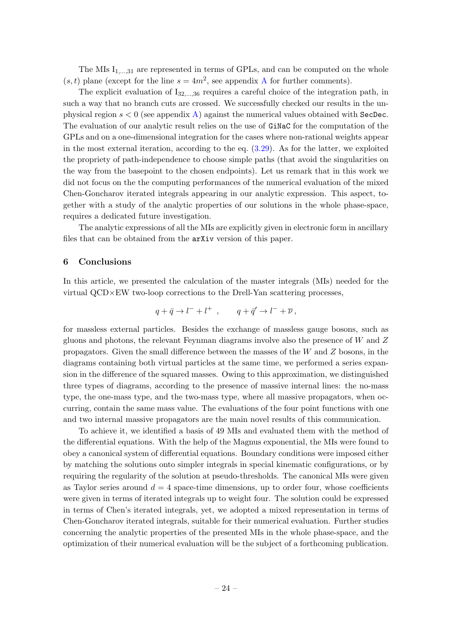The MIs  $I_{1,\dots,31}$  are represented in terms of GPLs, and can be computed on the whole  $(s, t)$  plane (except for the line  $s = 4m^2$ , see appendix [A](#page-25-0) for further comments).

The explicit evaluation of  $I_{32,...,36}$  requires a careful choice of the integration path, in such a way that no branch cuts are crossed. We successfully checked our results in the unphysical region  $s < 0$  (see appendix [A\)](#page-25-0) against the numerical values obtained with SecDec. The evaluation of our analytic result relies on the use of GiNaC for the computation of the GPLs and on a one-dimensional integration for the cases where non-rational weights appear in the most external iteration, according to the eq. [\(3.29\)](#page-12-1). As for the latter, we exploited the propriety of path-independence to choose simple paths (that avoid the singularities on the way from the basepoint to the chosen endpoints). Let us remark that in this work we did not focus on the the computing performances of the numerical evaluation of the mixed Chen-Goncharov iterated integrals appearing in our analytic expression. This aspect, together with a study of the analytic properties of our solutions in the whole phase-space, requires a dedicated future investigation.

The analytic expressions of all the MIs are explicitly given in electronic form in ancillary files that can be obtained from the arXiv version of this paper.

# <span id="page-24-0"></span>6 Conclusions

In this article, we presented the calculation of the master integrals (MIs) needed for the virtual QCD×EW two-loop corrections to the Drell-Yan scattering processes,

$$
q + \bar{q} \to l^- + l^+ , \qquad q + \bar{q}' \to l^- + \overline{\nu} ,
$$

for massless external particles. Besides the exchange of massless gauge bosons, such as gluons and photons, the relevant Feynman diagrams involve also the presence of  $W$  and  $Z$ propagators. Given the small difference between the masses of the W and Z bosons, in the diagrams containing both virtual particles at the same time, we performed a series expansion in the difference of the squared masses. Owing to this approximation, we distinguished three types of diagrams, according to the presence of massive internal lines: the no-mass type, the one-mass type, and the two-mass type, where all massive propagators, when occurring, contain the same mass value. The evaluations of the four point functions with one and two internal massive propagators are the main novel results of this communication.

To achieve it, we identified a basis of 49 MIs and evaluated them with the method of the differential equations. With the help of the Magnus exponential, the MIs were found to obey a canonical system of differential equations. Boundary conditions were imposed either by matching the solutions onto simpler integrals in special kinematic configurations, or by requiring the regularity of the solution at pseudo-thresholds. The canonical MIs were given as Taylor series around  $d = 4$  space-time dimensions, up to order four, whose coefficients were given in terms of iterated integrals up to weight four. The solution could be expressed in terms of Chen's iterated integrals, yet, we adopted a mixed representation in terms of Chen-Goncharov iterated integrals, suitable for their numerical evaluation. Further studies concerning the analytic properties of the presented MIs in the whole phase-space, and the optimization of their numerical evaluation will be the subject of a forthcoming publication.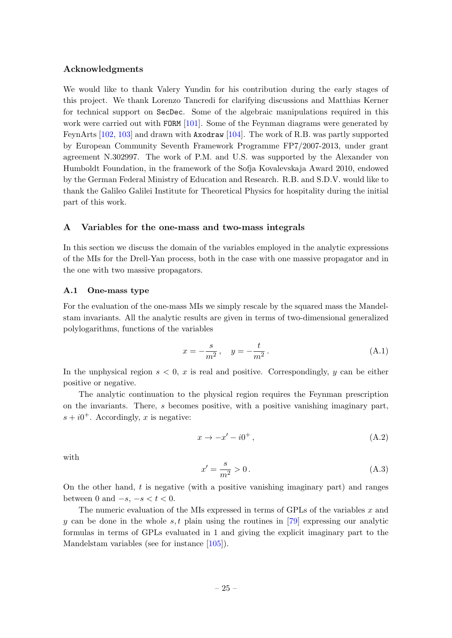#### Acknowledgments

We would like to thank Valery Yundin for his contribution during the early stages of this project. We thank Lorenzo Tancredi for clarifying discussions and Matthias Kerner for technical support on SecDec. Some of the algebraic manipulations required in this work were carried out with FORM [\[101\]](#page-45-9). Some of the Feynman diagrams were generated by FeynArts [\[102,](#page-45-10) [103\]](#page-45-11) and drawn with Axodraw [\[104\]](#page-45-12). The work of R.B. was partly supported by European Community Seventh Framework Programme FP7/2007-2013, under grant agreement N.302997. The work of P.M. and U.S. was supported by the Alexander von Humboldt Foundation, in the framework of the Sofja Kovalevskaja Award 2010, endowed by the German Federal Ministry of Education and Research. R.B. and S.D.V. would like to thank the Galileo Galilei Institute for Theoretical Physics for hospitality during the initial part of this work.

#### <span id="page-25-0"></span>A Variables for the one-mass and two-mass integrals

In this section we discuss the domain of the variables employed in the analytic expressions of the MIs for the Drell-Yan process, both in the case with one massive propagator and in the one with two massive propagators.

#### <span id="page-25-1"></span>A.1 One-mass type

For the evaluation of the one-mass MIs we simply rescale by the squared mass the Mandelstam invariants. All the analytic results are given in terms of two-dimensional generalized polylogarithms, functions of the variables

$$
x = -\frac{s}{m^2}, \quad y = -\frac{t}{m^2}.
$$
 (A.1)

In the unphysical region  $s < 0$ , x is real and positive. Correspondingly, y can be either positive or negative.

The analytic continuation to the physical region requires the Feynman prescription on the invariants. There, s becomes positive, with a positive vanishing imaginary part,  $s + i0^+$ . Accordingly, x is negative:

$$
x \to -x' - i0^+, \tag{A.2}
$$

with

$$
x' = \frac{s}{m^2} > 0.
$$
 (A.3)

On the other hand, t is negative (with a positive vanishing imaginary part) and ranges between 0 and  $-s$ ,  $-s < t < 0$ .

The numeric evaluation of the MIs expressed in terms of GPLs of the variables  $x$  and y can be done in the whole s, t plain using the routines in [\[79\]](#page-44-7) expressing our analytic formulas in terms of GPLs evaluated in 1 and giving the explicit imaginary part to the Mandelstam variables (see for instance [\[105\]](#page-45-13)).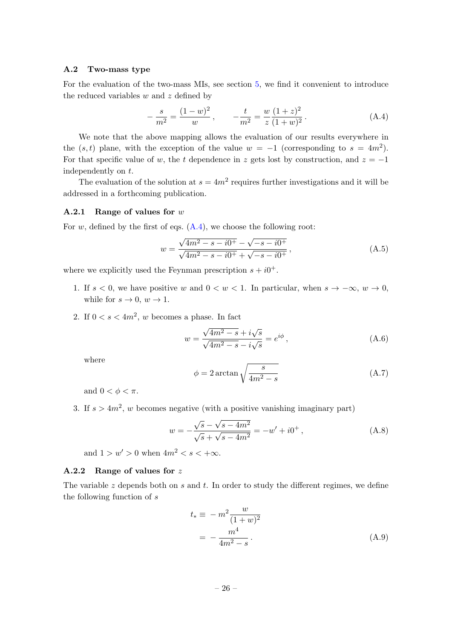## <span id="page-26-0"></span>A.2 Two-mass type

For the evaluation of the two-mass MIs, see section [5,](#page-18-0) we find it convenient to introduce the reduced variables  $w$  and  $z$  defined by

<span id="page-26-3"></span>
$$
-\frac{s}{m^2} = \frac{(1-w)^2}{w}, \qquad -\frac{t}{m^2} = \frac{w}{z} \frac{(1+z)^2}{(1+w)^2}.
$$
 (A.4)

We note that the above mapping allows the evaluation of our results everywhere in the  $(s, t)$  plane, with the exception of the value  $w = -1$  (corresponding to  $s = 4m^2$ ). For that specific value of w, the t dependence in z gets lost by construction, and  $z = -1$ independently on t.

The evaluation of the solution at  $s = 4m^2$  requires further investigations and it will be addressed in a forthcoming publication.

#### <span id="page-26-1"></span>A.2.1 Range of values for  $w$

For w, defined by the first of eqs.  $(A.4)$ , we choose the following root:

<span id="page-26-4"></span>
$$
w = \frac{\sqrt{4m^2 - s - i0^+} - \sqrt{-s - i0^+}}{\sqrt{4m^2 - s - i0^+} + \sqrt{-s - i0^+}},
$$
\n(A.5)

where we explicitly used the Feynman prescription  $s + i0^+$ .

- 1. If  $s < 0$ , we have positive w and  $0 < w < 1$ . In particular, when  $s \to -\infty$ ,  $w \to 0$ , while for  $s \to 0$ ,  $w \to 1$ .
- 2. If  $0 < s < 4m^2$ , w becomes a phase. In fact

$$
w = \frac{\sqrt{4m^2 - s} + i\sqrt{s}}{\sqrt{4m^2 - s} - i\sqrt{s}} = e^{i\phi},
$$
\n(A.6)

where

$$
\phi = 2 \arctan \sqrt{\frac{s}{4m^2 - s}} \tag{A.7}
$$

and  $0 < \phi < \pi$ .

3. If  $s > 4m^2$ , w becomes negative (with a positive vanishing imaginary part)

$$
w = -\frac{\sqrt{s} - \sqrt{s - 4m^2}}{\sqrt{s} + \sqrt{s - 4m^2}} = -w' + i0^+,
$$
 (A.8)

and  $1 > w' > 0$  when  $4m^2 < s < +\infty$ .

#### <span id="page-26-2"></span>A.2.2 Range of values for z

The variable  $z$  depends both on  $s$  and  $t$ . In order to study the different regimes, we define the following function of s

$$
t_* \equiv -m^2 \frac{w}{(1+w)^2}
$$
  
=  $-\frac{m^4}{4m^2 - s}$ . (A.9)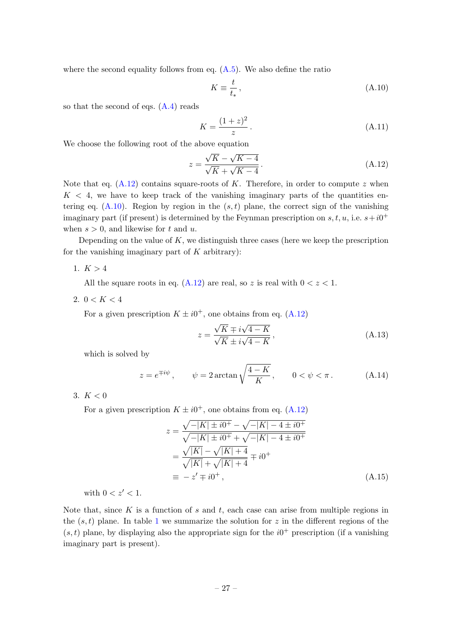where the second equality follows from eq.  $(A.5)$ . We also define the ratio

<span id="page-27-1"></span>
$$
K \equiv \frac{t}{t_*},\tag{A.10}
$$

so that the second of eqs.  $(A.4)$  reads

<span id="page-27-0"></span>
$$
K = \frac{(1+z)^2}{z} \,. \tag{A.11}
$$

We choose the following root of the above equation

$$
z = \frac{\sqrt{K} - \sqrt{K - 4}}{\sqrt{K} + \sqrt{K - 4}}.
$$
\n(A.12)

Note that eq.  $(A.12)$  contains square-roots of K. Therefore, in order to compute z when  $K < 4$ , we have to keep track of the vanishing imaginary parts of the quantities entering eq.  $(A.10)$ . Region by region in the  $(s, t)$  plane, the correct sign of the vanishing imaginary part (if present) is determined by the Feynman prescription on  $s, t, u$ , i.e.  $s+i0^+$ when  $s > 0$ , and likewise for t and u.

Depending on the value of  $K$ , we distinguish three cases (here we keep the prescription for the vanishing imaginary part of  $K$  arbitrary):

1.  $K > 4$ 

All the square roots in eq.  $(A.12)$  are real, so z is real with  $0 < z < 1$ .

2.  $0 < K < 4$ 

For a given prescription  $K \pm i0^+$ , one obtains from eq. [\(A.12\)](#page-27-0)

<span id="page-27-2"></span>
$$
z = \frac{\sqrt{K} \mp i\sqrt{4 - K}}{\sqrt{K} \pm i\sqrt{4 - K}},
$$
\n(A.13)

which is solved by

$$
z = e^{\mp i\psi}, \qquad \psi = 2\arctan\sqrt{\frac{4-K}{K}}, \qquad 0 < \psi < \pi. \tag{A.14}
$$

3.  $K < 0$ 

For a given prescription  $K \pm i0^+$ , one obtains from eq. [\(A.12\)](#page-27-0)

<span id="page-27-3"></span>
$$
z = \frac{\sqrt{-|K| \pm i0^{+}} - \sqrt{-|K| - 4 \pm i0^{+}}}{\sqrt{-|K| \pm i0^{+}} + \sqrt{-|K| - 4 \pm i0^{+}}}
$$
  
= 
$$
\frac{\sqrt{|K|} - \sqrt{|K| + 4}}{\sqrt{|K|} + \sqrt{|K| + 4}} \mp i0^{+}
$$
  
= 
$$
-z' \mp i0^{+},
$$
 (A.15)

with  $0 < z' < 1$ .

Note that, since K is a function of s and t, each case can arise from multiple regions in the  $(s, t)$  plane. In table [1](#page-28-2) we summarize the solution for z in the different regions of the  $(s, t)$  plane, by displaying also the appropriate sign for the  $i0<sup>+</sup>$  prescription (if a vanishing imaginary part is present).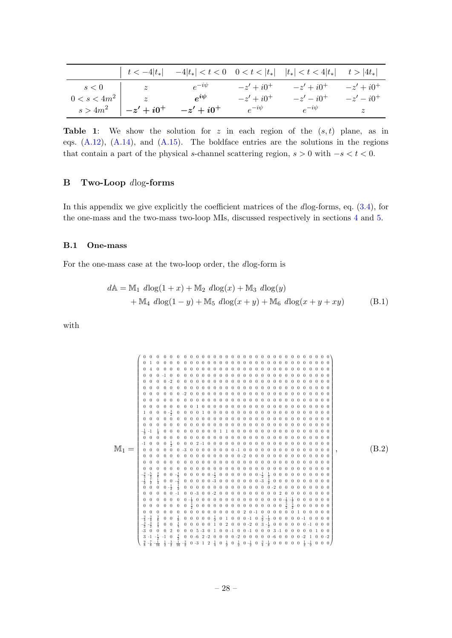<span id="page-28-2"></span>

|                | $t < -4 t_* $                           |              |              | $-4 t_*  < t < 0$ $0 < t <  t_* $ $ t_*  < t < 4 t_* $ $t >  4t_* $ |              |
|----------------|-----------------------------------------|--------------|--------------|---------------------------------------------------------------------|--------------|
| s<0            | $\begin{array}{ccc} \hline \end{array}$ | $e^{-i\psi}$ | $-z' + i0^+$ | $-z' + i0^+$                                                        | $-z' + i0^+$ |
| $0 < s < 4m^2$ | $\overline{z}$                          | $e^{i\psi}$  | $-z' + i0^+$ | $-z'-i0^+$                                                          | $-z'-i0^+$   |
|                | $s > 4m^2$ $-z' + i0^+$                 | $-z' + i0^+$ | $e^{-i\psi}$ | $e^{-i\psi}$                                                        | z            |

**Table 1:** We show the solution for z in each region of the  $(s, t)$  plane, as in eqs.  $(A.12)$ ,  $(A.14)$ , and  $(A.15)$ . The boldface entries are the solutions in the regions that contain a part of the physical s-channel scattering region,  $s > 0$  with  $-s < t < 0$ .

# <span id="page-28-0"></span>B Two-Loop dlog-forms

In this appendix we give explicitly the coefficient matrices of the dlog-forms, eq. [\(3.4\)](#page-8-4), for the one-mass and the two-mass two-loop MIs, discussed respectively in sections [4](#page-14-1) and [5.](#page-18-0)

### <span id="page-28-1"></span>B.1 One-mass

For the one-mass case at the two-loop order, the dlog-form is

$$
dA = M_1 \ dlog(1+x) + M_2 \ dlog(x) + M_3 \ dlog(y) + M_4 \ dlog(1-y) + M_5 \ dlog(x+y) + M_6 \ dlog(x+y+xy)
$$
 (B.1)

with

M<sup>1</sup> = 0 0 0 0 0 0 0 0 0 0 0 0 0 0 0 0 0 0 0 0 0 0 0 0 0 0 0 0 0 0 0 0 1 0 0 0 0 0 0 0 0 0 0 0 0 0 0 0 0 0 0 0 0 0 0 0 0 0 0 0 0 0 0 4 0 0 0 0 0 0 0 0 0 0 0 0 0 0 0 0 0 0 0 0 0 0 0 0 0 0 0 0 0 0 0 0 <sup>−</sup>1 0 0 0 0 0 0 0 0 0 0 0 0 0 0 0 0 0 0 0 0 0 0 0 0 0 0 0 0 0 0 0 <sup>−</sup>2 0 0 0 0 0 0 0 0 0 0 0 0 0 0 0 0 0 0 0 0 0 0 0 0 0 0 0 0 0 0 0 0 0 0 0 0 0 0 0 0 0 0 0 0 0 0 0 0 0 0 0 0 0 0 0 0 0 0 0 0 0 0 0 <sup>−</sup>2 0 0 0 0 0 0 0 0 0 0 0 0 0 0 0 0 0 0 0 0 0 0 0 0 0 0 0 0 0 0 0 0 0 0 0 0 0 0 0 0 0 0 0 0 0 0 0 0 0 0 0 0 0 0 0 0 0 0 0 0 0 0 0 1 0 0 0 0 0 0 0 0 0 0 0 0 0 0 0 0 0 0 0 0 0 0 1 0 0 0 <sup>−</sup> 0 0 0 0 1 0 0 0 0 0 0 0 0 0 0 0 0 0 0 0 0 0 0 0 0 0 0 0 0 0 0 0 0 0 0 0 0 0 0 0 0 0 0 0 0 0 0 0 0 0 0 0 0 0 0 0 0 0 0 0 0 0 0 0 0 0 0 0 0 0 0 0 0 0 0 0 0 0 0 0 0 0 0 0 0 0 0 0 − <sup>−</sup>1 0 0 0 0 0 0 0 0 0 1 1 0 0 0 0 0 0 0 0 0 0 0 0 0 0 0 0 0 0 0 0 0 0 0 0 0 0 0 0 0 0 0 0 0 0 0 0 0 0 0 0 0 0 0 0 0 0 0 0 <sup>−</sup>1 0 0 0 <sup>1</sup> 0 0 0 2 <sup>−</sup>1 0 0 0 0 0 0 0 0 0 0 0 0 0 0 0 0 0 0 0 0 0 0 0 0 0 0 0 <sup>−</sup>3 0 0 0 0 0 0 0 0 <sup>−</sup>1 0 0 0 0 0 0 0 0 0 0 0 0 0 0 0 0 0 0 0 0 0 0 0 0 0 0 0 0 0 0 0 <sup>−</sup>2 0 0 0 0 0 0 0 0 0 0 0 0 0 0 0 0 0 0 0 0 0 0 0 0 0 0 0 0 0 0 0 0 0 0 0 0 0 0 0 0 0 0 0 0 0 0 0 0 0 0 0 0 0 0 0 0 0 0 0 0 0 0 0 0 0 0 0 0 0 0 0 0 0 0 0 0 − <sup>−</sup> 0 0 <sup>−</sup> 0 0 0 0 0 <sup>−</sup> 0 0 0 0 0 0 0 <sup>−</sup> 0 0 0 0 0 0 0 0 0 0 − 0 0 <sup>−</sup> 0 0 0 0 0 <sup>−</sup>3 0 0 0 0 0 0 0 <sup>−</sup><sup>3</sup> 0 0 0 0 0 0 0 0 0 0 0 0 0 0 <sup>−</sup> 0 0 0 0 0 0 0 0 0 0 0 0 0 0 0 <sup>−</sup>2 0 0 0 0 0 0 0 0 0 0 0 0 0 0 <sup>−</sup>1 0 0 <sup>−</sup>3 0 0 <sup>−</sup>2 0 0 0 0 0 0 0 0 0 0 2 0 0 0 0 0 0 0 0 0 0 0 0 0 0 0 <sup>−</sup> 0 0 0 0 0 0 0 0 0 0 0 0 0 0 0 <sup>−</sup> <sup>−</sup> 0 0 0 0 0 0 0 0 0 0 0 0 0 <sup>3</sup> 0 0 0 0 0 0 0 0 0 0 0 0 0 0 0 <sup>3</sup> 0 0 0 0 0 0 0 0 0 0 0 0 0 0 0 0 0 0 0 0 0 0 2 0 <sup>−</sup>1 0 0 0 0 0 0 1 0 0 0 0 0 − <sup>−</sup> 0 0 <sup>1</sup> 0 0 0 0 0 <sup>1</sup> 0 1 0 0 0 <sup>−</sup>1 0 <sup>3</sup> <sup>−</sup> 0 0 0 0 0 <sup>−</sup>1 0 0 0 0 − <sup>−</sup> 0 0 <sup>1</sup> 0 0 0 0 0 1 0 2 0 0 0 <sup>−</sup>2 0 3 <sup>−</sup> 0 0 0 0 0 0 <sup>−</sup>1 0 0 0 <sup>−</sup>3 0 0 0 2 0 0 0 5 <sup>−</sup>3 0 1 0 0 <sup>−</sup>1 0 0 <sup>−</sup>1 0 0 0 3 <sup>−</sup>1 0 0 0 0 0 1 0 0 <sup>−</sup>1 <sup>−</sup> <sup>−</sup>1 0 <sup>3</sup> 0 0 <sup>−</sup>6 2 <sup>−</sup>2 0 0 0 0 <sup>−</sup>2 0 0 0 0 0 <sup>−</sup>6 0 0 0 0 <sup>−</sup>2 1 0 0 <sup>−</sup><sup>2</sup> <sup>−</sup> <sup>−</sup> <sup>−</sup> <sup>−</sup> <sup>0</sup> <sup>−</sup>3 1 2 <sup>1</sup> 0 0 0 <sup>−</sup> 0 <sup>−</sup> 0 0 0 0 0 <sup>1</sup> <sup>−</sup> 0 0 0 , (B.2)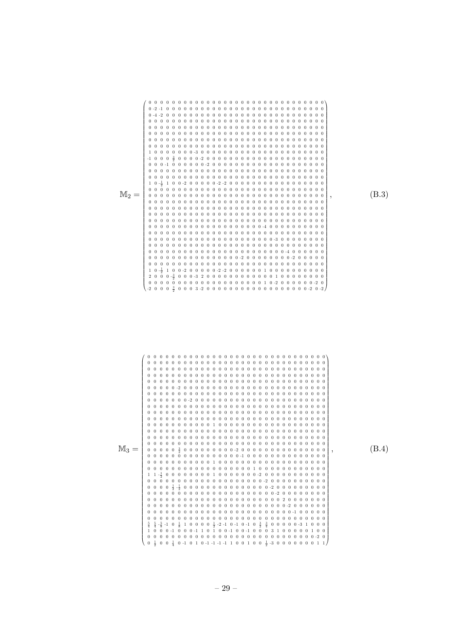

 $(B.3)$ 

 $(B.4)$ 

0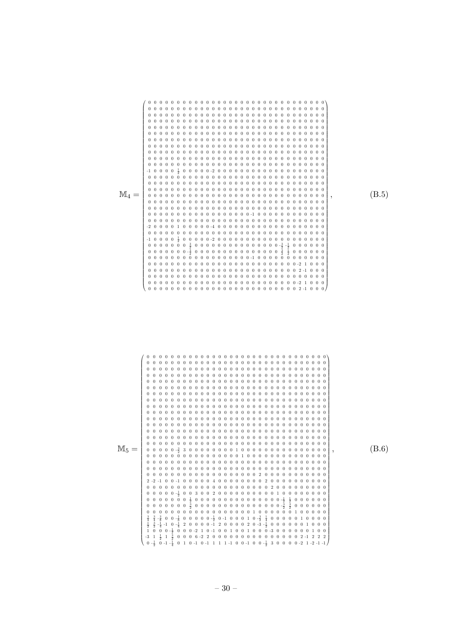

 $(B.5)$ 

 $(B.6)$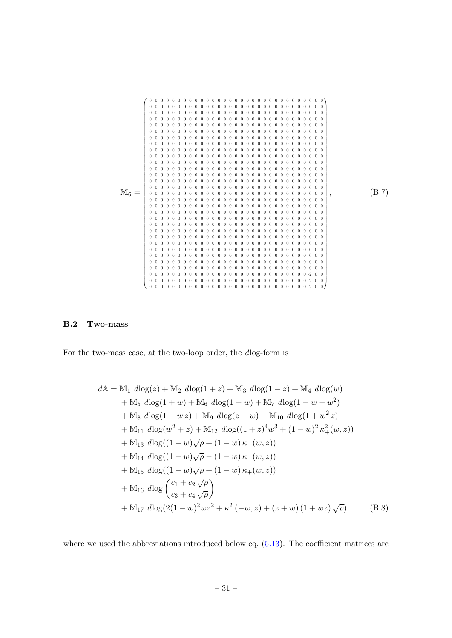

 $(B.7)$ 

#### <span id="page-31-0"></span> $B.2$ Two-mass

For the two-mass case, at the two-loop order, the dlog-form is

$$
dA = M_1 dlog(z) + M_2 dlog(1 + z) + M_3 dlog(1 - z) + M_4 dlog(w)
$$
  
+ M<sub>5</sub>  $dlog(1 + w) + M_6 dlog(1 - w) + M_7 dlog(1 - w + w^2)$   
+ M<sub>8</sub>  $dlog(1 - w z) + M_9 dlog(z - w) + M_{10} dlog(1 + w^2 z)$   
+ M<sub>11</sub>  $dlog(w^2 + z) + M_{12} dlog((1 + z)^4 w^3 + (1 - w)^2 \kappa_+^2 (w, z))$   
+ M<sub>13</sub>  $dlog((1 + w)\sqrt{\rho} + (1 - w) \kappa_-(w, z))$   
+ M<sub>14</sub>  $dlog((1 + w)\sqrt{\rho} - (1 - w) \kappa_-(w, z))$   
+ M<sub>15</sub>  $dlog((1 + w)\sqrt{\rho} + (1 - w) \kappa_+(w, z))$   
+ M<sub>16</sub>  $dlog\left(\frac{c_1 + c_2 \sqrt{\rho}}{c_3 + c_4 \sqrt{\rho}}\right)$   
+ M<sub>17</sub>  $dlog(2(1 - w)^2 wz^2 + \kappa_+^2(-w, z) + (z + w)(1 + wz)\sqrt{\rho})$  (B.8)

where we used the abbreviations introduced below eq.  $(5.13)$ . The coefficient matrices are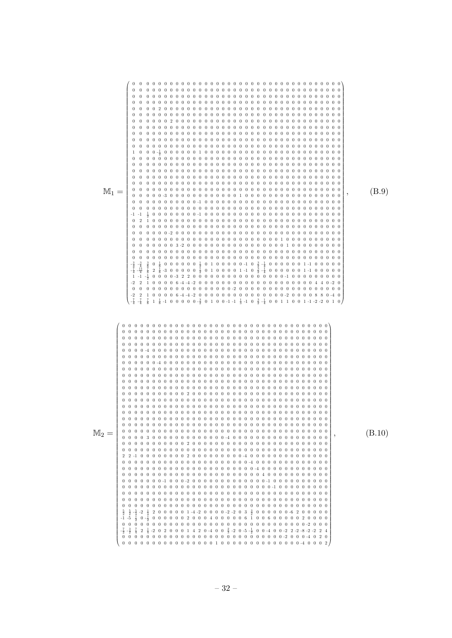|                  | $0\quad 0$<br>$\bf{0}$<br>$0 \quad 0$<br>$M_1 = \begin{bmatrix} 0 & 0 \\ 0 & 0 \\ 0 & 0 \end{bmatrix}$<br>0 0 0 0 0 3 -2 0 0 0 0 0 0 0 0 0 0 0 0 0 0 0 0 0 1 0 0 0 0 0 0 0 0 0<br>$\frac{3}{8}$ 0 $\frac{1}{8}$ 0 0 0 0 0 0 0 $\frac{1}{2}$ 0 1 0 0 0 0 0 -1 0 $\frac{3}{2}$ -4 0 0 0 0 0 0 1 -1 0 0 0 0 0 0 0 $\frac{1}{8}$ -3 0 0 0 0 0 0 $\frac{1}{2}$ 0 1 0 0 0 0 0 1 -1 0 $\frac{3}{2}$ -4 0 0 0 0 0 0 0 1 -1 0 0 0 0 0 0<br>$1\  \  0\  \  0\  \  0\  \  0\  \  6\  \  4\  \  4\  \  2\  \  0\  \  0\  \  0\  \  0\  \  0\  \  0\  \  0\  \  0\  \  0\  \  0\  \  0\  \  0\  \  0\  \  0\  \  0\  \  0\  \  0\  \  0\  \  4\  \  4\  \  0\  \  -2\  \  0$<br>$1\  \  0\  \  0\  \  0\  \  0\  \  6\  \  4\  \  4\  \  2\  \  0\  \  0\  \  0\  \  0\  \  0\  \  0\  \  0\  \  0\  \  0\  \  0\  \  0\  \  0\  \  0\  \  0\  \  2\  \  0\  \  0\  \  0\  \  8\  \  8\  \  0\  \  4\  \  0$<br>$\overline{2}$<br>$\frac{7}{8}$ 1 $\frac{1}{8}$ -1 0 0 0 0 0 $\frac{3}{2}$ 0 1 0 0 -1 -1 $\frac{1}{3}$ -1 0 $\frac{3}{2}$ - $\frac{1}{4}$ 0 0 1 1 0 0 1 -1 -2 -2 0 1 0 | (B.9)  |
|------------------|---------------------------------------------------------------------------------------------------------------------------------------------------------------------------------------------------------------------------------------------------------------------------------------------------------------------------------------------------------------------------------------------------------------------------------------------------------------------------------------------------------------------------------------------------------------------------------------------------------------------------------------------------------------------------------------------------------------------------------------------------------------------------------------------------------------------------------------------------------------------------------------------------------------------------------------------------------------------------------------------------------------------------------------------------------------------------|--------|
| $\mathbb{M}_2 =$ | $0\quad 0$<br>$0\quad 0$<br>$\overline{0}$<br>$\overline{0}$<br>2 0 0 0 0 0 1 -4 -2 0 0 0 0 -2 -2 0 3 $\frac{3}{2}$ 0 0 0 0 0 0 -6 2 0 0 0 0 0<br>$-2\frac{1}{4}$<br>$0-\frac{1}{2}$ 0 0 0 0 0 0 2 0 0 0 4 0 0 0 0 0 6 1 0 0 6 0 0 0 0 0 2 0 0 0 0<br>$\frac{7}{4} \quad 2 \quad \frac{1}{4} \quad -2 \quad 0 \quad 2 \quad 0 \quad 0 \quad 0 \quad 1 \quad 4 \quad 2 \quad 0 \quad -4 \quad 0 \quad 0 \quad \frac{2}{3} \quad -2 \quad 0 \quad -5 \quad -\frac{1}{2} \quad 0 \quad 0 \quad -4 \quad 0 \quad 0 \quad -2 \quad 2 \quad -2 \quad -8 \quad -2 \quad -2 \quad 2 \quad 4$<br>0 0 0 0 0 0 0 0 0 0 0 0 0 0 0 0 1 0 0 0 0 0 0 0 0 0 0 0 0 0 -4 0 0 0 2                                                                                                                                                                                                                                                                                                                                                                                                            | (B.10) |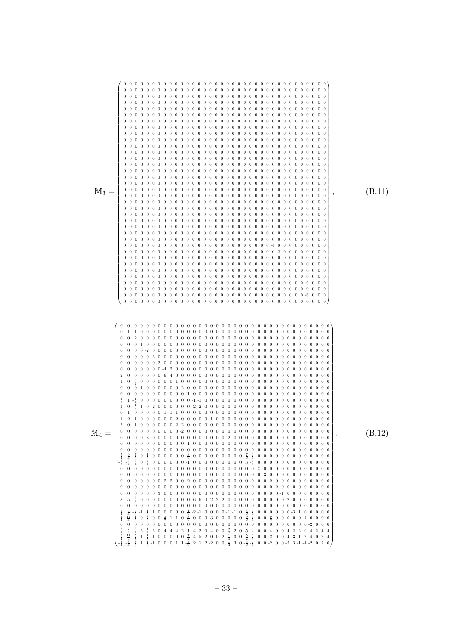| $\mathbb{M}_3 =$ |                                                                                                                                                                                                                                                                                                                                                                                                                                                                                                                                                                                                                                                                                                                                                                          | (B.11) |
|------------------|--------------------------------------------------------------------------------------------------------------------------------------------------------------------------------------------------------------------------------------------------------------------------------------------------------------------------------------------------------------------------------------------------------------------------------------------------------------------------------------------------------------------------------------------------------------------------------------------------------------------------------------------------------------------------------------------------------------------------------------------------------------------------|--------|
| $\mathbb{M}_4 =$ | $\mathbf{0}$<br>$\overline{0}$<br>-1<br>$\theta$<br>$\mathbf{0}$<br>$\boldsymbol{0}$<br>$0\quad 0$<br>$rac{3}{2}$<br>$0\quad 0$<br>$\mathbf{0}$<br>$\frac{5}{4}$ – $\frac{1}{4}$<br>$\frac{5}{4}$<br>$\frac{17}{4}$<br>$\frac{1}{8}$<br>$-1$<br>$0 - \frac{3}{8}$<br>$\boldsymbol{0}$<br>$\boldsymbol{0}$<br>$\begin{array}{r} -\frac{7}{2} \\ -\frac{17}{4} \\ -\frac{3}{4} \end{array}$<br>2 $\frac{1}{4}$ -2 0 -4 4 4 2 1 4 2 0 -4 0 0 $\frac{2}{3}$ -2 0 -5 $\frac{1}{2}$ 0 0 -4 0 0 -4 2 -2 -6 -4 -2 4 4<br>-1 $-\frac{1}{8}$ 1 0 0 0 0 0 $\frac{7}{2}$ 4 5 -2 0 0 -2 $-\frac{1}{3}$ -3 0 $\frac{5}{2}$ $\frac{1}{4}$ 0 0 2 0 0 -4 -3 1 2 -4 0 2 4<br>1 $\frac$<br>$\frac{-\frac{3}{2}}{-\frac{5}{4}}$<br>$\frac{-\frac{3}{4}}{-\frac{3}{4}}$<br>$-1 - \frac{1}{8}$ | (B.12) |

 $-33-$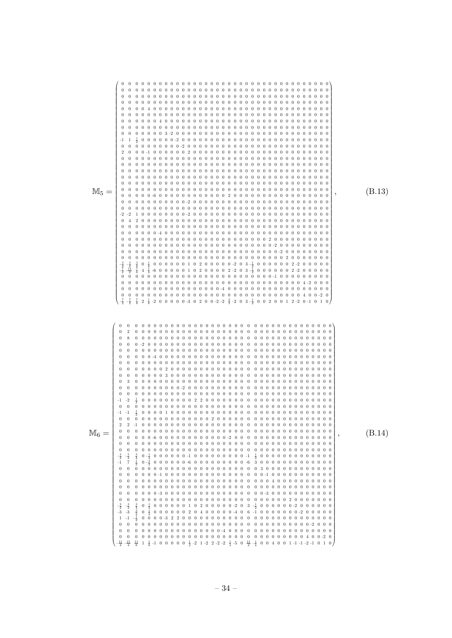|                  | $\mathbf{0}$<br>$\mathbf{1}$<br>-1<br>$\theta$<br>$\bf{0}$<br>$\overline{0}$                                                                                                                                                                                                                                                                                                                                                                                                                                                                                                                                                                                                                                   | (B.13) |
|------------------|----------------------------------------------------------------------------------------------------------------------------------------------------------------------------------------------------------------------------------------------------------------------------------------------------------------------------------------------------------------------------------------------------------------------------------------------------------------------------------------------------------------------------------------------------------------------------------------------------------------------------------------------------------------------------------------------------------------|--------|
| $\mathbb{M}_6 =$ | $\boldsymbol{0}$<br>$\mathbf{0}$<br>$\mathbf{0}$<br>$\mathbf{0}$<br>$\overline{0}$<br>$\bf{0}$<br>$\overline{0}$<br>$\overline{0}$<br>$\boldsymbol{0}$<br>-3<br>$\bf{0}$<br>$\theta$<br>$\overline{0}$<br>-1<br>$^{-1}$<br>$\mathbf{0}$<br>$0-\frac{1}{4}$ 0 0 0 0 0 0 -1 0 0 0 0 0 0 0 0 0 -1 $\frac{1}{2}$ 0 0 0 0 0 0 0 0 0 0 0 0 0 0<br>$0-\frac{3}{2}$ 0 0 0 0 0 0 -6 0 0 0 0 0 0 0 0 0 -6 3 0 0 0 0 0 0 0 0 0 0 0 0 0 0<br>0<br>$0 \frac{1}{2}$ 0 0 0 0 0 0 2 0 4 0 0 0 0 0 -4 0 6 -1 0 0 0 0 0 0 0 -2 0 0 0 0 0<br>$-3$<br>$\bf{0}$<br>$\boldsymbol{0}$<br>$\frac{11}{8}$ 1 $\frac{1}{8}$ -1 0 0 0 0 0 $\frac{1}{2}$ -2 1 -2 2 -2 -2 $\frac{1}{3}$ -5 0 $\frac{11}{2}$ -4 0 0 4 0 0 1 -1 -1 -2 -1 0 1 0 | (B.14) |

– 34 –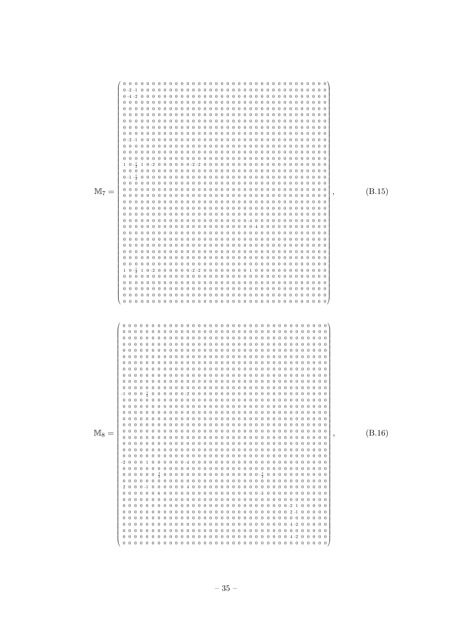| $M_7 =$ |                                                                                  | (B.15) |
|---------|----------------------------------------------------------------------------------|--------|
| $M_8 =$ | $0\quad 0$<br>$0\quad 0\quad 0\quad 0$<br>$0\quad 0$<br>$0\quad 0$<br>$0\quad 0$ | (B.16) |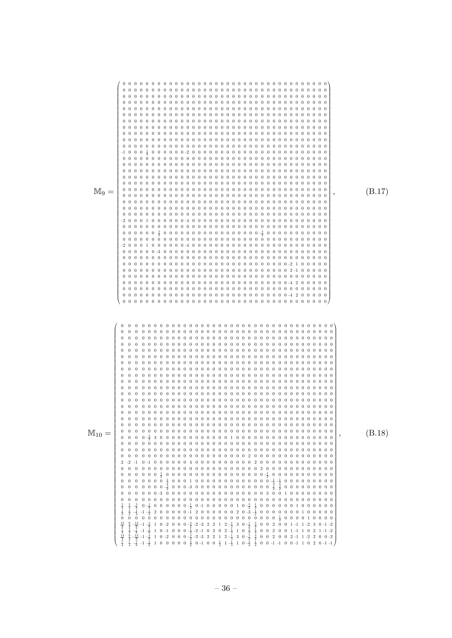| $M_9 =$             | 0 0 0 0 0 0 $\frac{3}{2}$ 0 0 0 0 0 0 0 0 0 0 0 0 0 0 0 0 0 $\frac{3}{2}$ 0 0 0 0 0 0 0 0 0 0 0 0                                                                                                                                                                                                                                                                                                                                                                                                                                                                                                                                                                                                                                                                                                                                        | (B.17) |
|---------------------|------------------------------------------------------------------------------------------------------------------------------------------------------------------------------------------------------------------------------------------------------------------------------------------------------------------------------------------------------------------------------------------------------------------------------------------------------------------------------------------------------------------------------------------------------------------------------------------------------------------------------------------------------------------------------------------------------------------------------------------------------------------------------------------------------------------------------------------|--------|
| $\mathbb{M}_{10} =$ | $\overline{0}$<br>$0\quad 0$<br>$\overline{0}$<br>$0 \t 0 -\frac{3}{2}$<br>$0\quad 0$<br>$0\quad 0$<br>$\overline{0}$<br>$0\  \  \, 0\  \  \, 0\  \  \, 0\  \  \, 0\  \  \, 0\  \  \, 0\  \  \, 0\  \  \, 0\  \  \, 0\  \  \, 0\  \  \, 0\  \  \, 0\  \  \, 0\  \  \, 0\  \  \, 0\  \  \, 0\  \  \, 0\  \  \, 1\  \  \, 0\  \  \, 0\  \  \, 0\  \  \, 0\  \  \, 0\  \  \, 0\  \  \, 0\  \  \, 0\  \  \, 0\  \$<br>$rac{3}{4}$<br>$rac{1}{2}$<br>$0 - \frac{1}{8}$<br>$\frac{-\frac{3}{8}}{-\frac{1}{4}}$<br>$-1$ $-\frac{1}{4}$<br>$\boldsymbol{0}$<br>$\boldsymbol{0}$<br>$\frac{13}{4}$ $\frac{7}{4}$ $\frac{13}{4}$ $\frac{7}{4}$<br>$\begin{array}{r} -\frac{13}{8} \ \ -1 \ \ -\frac{3}{8} \\ -\frac{7}{8} \ \ -1 \ \ -\frac{1}{8} \\ -\frac{13}{8} \ \ -1 \ \ -\frac{3}{8} \\ -\frac{7}{8} \ \ -1 \ \ -\frac{1}{8} \\ \end{array}$ | (B.18) |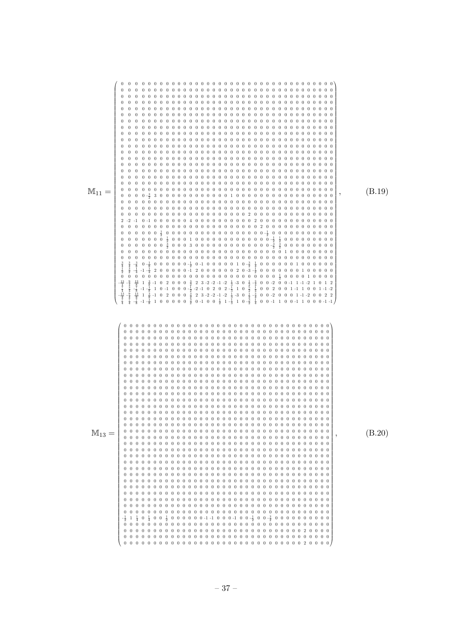| $\theta$<br>0<br>$\overline{0}$<br>$\bf{0}$<br>$\bf{0}$<br>0<br>$\bf{0}$<br>$\bf{0}$<br>$\mathbf{0}$<br>$\overline{0}$<br>0<br>$0\; \; 0\; \; 0\; \; 0\; \; 0\; \; 0\; \; 0\; \; 0\; \; 0\; \; 0\; \; 0\; \; 0\; \; 0\; \; 0\; \; 0\; \; 0\; \; 0\; \; 0\; \; 0\; \; 0\; \; 0\; \; 0\; \; 0\; \; 0\; \; 0\; \; 0\; \; 0\; \; 0\; \; 0\; \; 0\; \; 0\; \; 0\; \; 0\; \; 0\; \; 0\; \; 0\; \; 0\; \$<br>$\overline{0}$<br>$\bf{0}$<br>$0 \t 0 -\frac{3}{2}$<br>$0\quad 0$<br>0 0 0 0 0 0 0 0 0 0 0 0 0 0 0 0 0 0 2 0 0 0 0 0 0 0 0 0 0 0 0 0 0<br>0 0 0 0 $\frac{1}{2}$ 0 0 0 0 0 0 0 0 0 0 0 0 0 0 0 0 0 $\frac{1}{2}$ 0 0 0 0 0 0 0 0 0 0 0 0<br>$\overline{0}$<br>$\theta$<br>$\bf{0}$<br>$\theta$<br>$\theta$<br>$\theta$<br>$\theta$<br>0 0 0 0 0 0 $-\frac{1}{2}$ 0 -1 0 0 0 0 0 1 0 $-\frac{3}{2}$ $\frac{1}{4}$ 0 0 0 0 0 0 1 0 0 0 0 0 0 0<br>$0 - \frac{1}{8}$<br>2 0 0 0 0 0 -1 2 0 0 0 0 0 0 0 2 0 -3 - $\frac{1}{2}$ 0 0 0 0 0 0 0 0 1 0 0 0 0 0 0<br>$\bf{0}$<br>$\bf{0}$<br>$-\frac{9}{4}$<br>$-\frac{3}{4}$<br>$-\frac{3}{4}$<br>$\frac{3}{4}$<br>$\frac{4}{7}$<br>$\begin{array}{r} 13 \\ \frac{13}{8} \\ -\frac{7}{8} \\ -1 \\ \frac{13}{8} \\ -\frac{7}{8} \\ -1 \\ -\frac{1}{8} \end{array}$<br>$\frac{13}{4}$ | (B.19) |
|----------------------------------------------------------------------------------------------------------------------------------------------------------------------------------------------------------------------------------------------------------------------------------------------------------------------------------------------------------------------------------------------------------------------------------------------------------------------------------------------------------------------------------------------------------------------------------------------------------------------------------------------------------------------------------------------------------------------------------------------------------------------------------------------------------------------------------------------------------------------------------------------------------------------------------------------------------------------------------------------------------------------------------------------------------------------------------------------------------------------------------------------------------------------------------------------------------------------------------|--------|
| $0\quad0$<br>$0\quad 0$                                                                                                                                                                                                                                                                                                                                                                                                                                                                                                                                                                                                                                                                                                                                                                                                                                                                                                                                                                                                                                                                                                                                                                                                          | (B.20) |

 $-37-$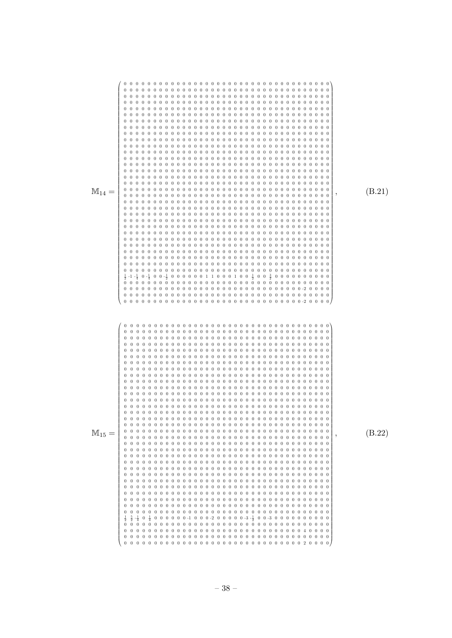| $\mathbb{M}_{14} =$ | $\frac{1}{2}$ -1 - $\frac{1}{4}$ 0 - $\frac{1}{4}$ 0 0 - $\frac{1}{2}$ 0 0 0 0 0 0 0 1 1 0 0 0 1 0 0 $\frac{1}{2}$ 0 0 $\frac{3}{2}$ 0 0 0 0 0 0 0 0 0 0 0 0 | (B.21) |
|---------------------|--------------------------------------------------------------------------------------------------------------------------------------------------------------|--------|
| $M_{15} =$          |                                                                                                                                                              | (B.22) |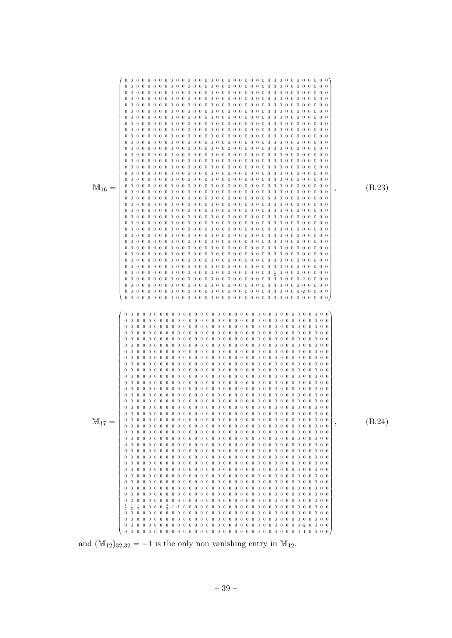

and  $(\mathbb{M}_{12})_{32,32} = -1$  is the only non vanishing entry in  $\mathbb{M}_{12}$ .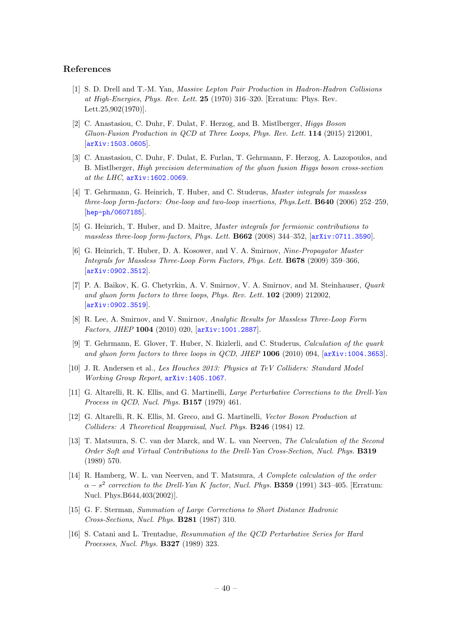#### References

- <span id="page-40-0"></span>[1] S. D. Drell and T.-M. Yan, Massive Lepton Pair Production in Hadron-Hadron Collisions at High-Energies, Phys. Rev. Lett. 25 (1970) 316–320. [Erratum: Phys. Rev. Lett.25,902(1970)].
- <span id="page-40-1"></span>[2] C. Anastasiou, C. Duhr, F. Dulat, F. Herzog, and B. Mistlberger, Higgs Boson Gluon-Fusion Production in QCD at Three Loops, Phys. Rev. Lett. 114 (2015) 212001, [[arXiv:1503.0605](http://arxiv.org/abs/1503.0605)].
- <span id="page-40-2"></span>[3] C. Anastasiou, C. Duhr, F. Dulat, E. Furlan, T. Gehrmann, F. Herzog, A. Lazopoulos, and B. Mistlberger, High precision determination of the gluon fusion Higgs boson cross-section at the LHC, [arXiv:1602.0069](http://arxiv.org/abs/1602.0069).
- <span id="page-40-3"></span>[4] T. Gehrmann, G. Heinrich, T. Huber, and C. Studerus, Master integrals for massless three-loop form-factors: One-loop and two-loop insertions, Phys.Lett. B640 (2006) 252–259, [[hep-ph/0607185](http://arxiv.org/abs/hep-ph/0607185)].
- [5] G. Heinrich, T. Huber, and D. Maitre, Master integrals for fermionic contributions to massless three-loop form-factors, Phys. Lett. B662 (2008) 344–352, [[arXiv:0711.3590](http://arxiv.org/abs/0711.3590)].
- [6] G. Heinrich, T. Huber, D. A. Kosower, and V. A. Smirnov, Nine-Propagator Master Integrals for Massless Three-Loop Form Factors, Phys. Lett. B678 (2009) 359–366, [[arXiv:0902.3512](http://arxiv.org/abs/0902.3512)].
- [7] P. A. Baikov, K. G. Chetyrkin, A. V. Smirnov, V. A. Smirnov, and M. Steinhauser, Quark and gluon form factors to three loops, Phys. Rev. Lett. 102 (2009) 212002, [[arXiv:0902.3519](http://arxiv.org/abs/0902.3519)].
- [8] R. Lee, A. Smirnov, and V. Smirnov, Analytic Results for Massless Three-Loop Form Factors, JHEP 1004 (2010) 020, [[arXiv:1001.2887](http://arxiv.org/abs/1001.2887)].
- <span id="page-40-4"></span>[9] T. Gehrmann, E. Glover, T. Huber, N. Ikizlerli, and C. Studerus, Calculation of the quark and gluon form factors to three loops in QCD, JHEP 1006 (2010) 094, [[arXiv:1004.3653](http://arxiv.org/abs/1004.3653)].
- <span id="page-40-5"></span>[10] J. R. Andersen et al., Les Houches 2013: Physics at TeV Colliders: Standard Model Working Group Report, [arXiv:1405.1067](http://arxiv.org/abs/1405.1067).
- <span id="page-40-6"></span>[11] G. Altarelli, R. K. Ellis, and G. Martinelli, Large Perturbative Corrections to the Drell-Yan Process in QCD, Nucl. Phys. B157 (1979) 461.
- <span id="page-40-7"></span>[12] G. Altarelli, R. K. Ellis, M. Greco, and G. Martinelli, Vector Boson Production at Colliders: A Theoretical Reappraisal, Nucl. Phys. B246 (1984) 12.
- <span id="page-40-8"></span>[13] T. Matsuura, S. C. van der Marck, and W. L. van Neerven, The Calculation of the Second Order Soft and Virtual Contributions to the Drell-Yan Cross-Section, Nucl. Phys. B319 (1989) 570.
- <span id="page-40-9"></span>[14] R. Hamberg, W. L. van Neerven, and T. Matsuura, A Complete calculation of the order  $\alpha - s^2$  correction to the Drell-Yan K factor, Nucl. Phys. **B359** (1991) 343–405. [Erratum: Nucl. Phys.B644,403(2002)].
- <span id="page-40-10"></span>[15] G. F. Sterman, Summation of Large Corrections to Short Distance Hadronic Cross-Sections, Nucl. Phys. B281 (1987) 310.
- [16] S. Catani and L. Trentadue, Resummation of the QCD Perturbative Series for Hard Processes, Nucl. Phys. B327 (1989) 323.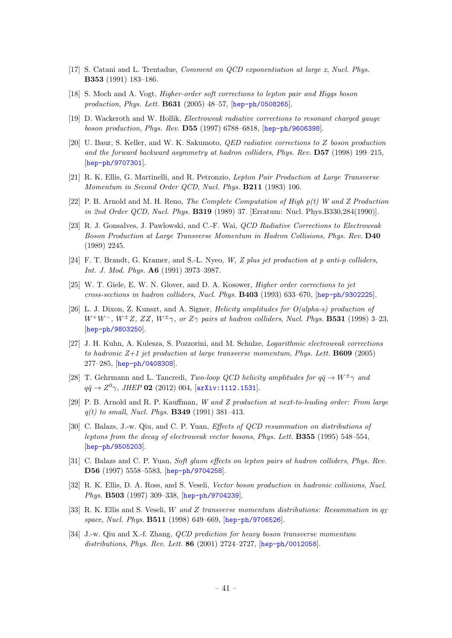- [17] S. Catani and L. Trentadue, Comment on QCD exponentiation at large x, Nucl. Phys. B353 (1991) 183–186.
- <span id="page-41-0"></span>[18] S. Moch and A. Vogt, Higher-order soft corrections to lepton pair and Higgs boson production, Phys. Lett. B631 (2005) 48–57, [[hep-ph/0508265](http://arxiv.org/abs/hep-ph/0508265)].
- <span id="page-41-1"></span>[19] D. Wackeroth and W. Hollik, Electroweak radiative corrections to resonant charged gauge boson production, Phys. Rev. D55 (1997) 6788–6818, [[hep-ph/9606398](http://arxiv.org/abs/hep-ph/9606398)].
- <span id="page-41-2"></span>[20] U. Baur, S. Keller, and W. K. Sakumoto, QED radiative corrections to Z boson production and the forward backward asymmetry at hadron colliders, Phys. Rev. D57 (1998) 199–215, [[hep-ph/9707301](http://arxiv.org/abs/hep-ph/9707301)].
- <span id="page-41-3"></span>[21] R. K. Ellis, G. Martinelli, and R. Petronzio, Lepton Pair Production at Large Transverse Momentum in Second Order QCD, Nucl. Phys. B211 (1983) 106.
- [22] P. B. Arnold and M. H. Reno, The Complete Computation of High  $p(t)$  W and Z Production in 2nd Order QCD, Nucl. Phys. **B319** (1989) 37. [Erratum: Nucl. Phys.B330,284(1990)].
- [23] R. J. Gonsalves, J. Pawlowski, and C.-F. Wai, *QCD Radiative Corrections to Electroweak* Boson Production at Large Transverse Momentum in Hadron Collisions, Phys. Rev. D40 (1989) 2245.
- [24] F. T. Brandt, G. Kramer, and S.-L. Nyeo, W, Z plus jet production at p anti-p colliders, Int. J. Mod. Phys. A6 (1991) 3973–3987.
- [25] W. T. Giele, E. W. N. Glover, and D. A. Kosower, Higher order corrections to jet cross-sections in hadron colliders, Nucl. Phys. B403 (1993) 633–670, [[hep-ph/9302225](http://arxiv.org/abs/hep-ph/9302225)].
- <span id="page-41-4"></span>[26] L. J. Dixon, Z. Kunszt, and A. Signer, Helicity amplitudes for O(alpha-s) production of  $W^+W^-, W^{\pm}Z, ZZ, W^{\pm}\gamma,$  or  $Z\gamma$  pairs at hadron colliders, Nucl. Phys. **B531** (1998) 3–23, [[hep-ph/9803250](http://arxiv.org/abs/hep-ph/9803250)].
- <span id="page-41-5"></span>[27] J. H. Kuhn, A. Kulesza, S. Pozzorini, and M. Schulze, Logarithmic electroweak corrections to hadronic  $Z+1$  jet production at large transverse momentum, Phys. Lett. **B609** (2005) 277–285, [[hep-ph/0408308](http://arxiv.org/abs/hep-ph/0408308)].
- <span id="page-41-6"></span>[28] T. Gehrmann and L. Tancredi, Two-loop QCD helicity amplitudes for  $q\bar{q} \rightarrow W^{\pm} \gamma$  and  $q\bar{q} \to Z^0 \gamma$ , JHEP 02 (2012) 004, [[arXiv:1112.1531](http://arxiv.org/abs/1112.1531)].
- <span id="page-41-7"></span>[29] P. B. Arnold and R. P. Kauffman, W and Z production at next-to-leading order: From large  $q(t)$  to small, Nucl. Phys. **B349** (1991) 381-413.
- [30] C. Balazs, J.-w. Qiu, and C. P. Yuan, Effects of QCD resummation on distributions of leptons from the decay of electroweak vector bosons, Phys. Lett. B355 (1995) 548–554, [[hep-ph/9505203](http://arxiv.org/abs/hep-ph/9505203)].
- [31] C. Balazs and C. P. Yuan, Soft gluon effects on lepton pairs at hadron colliders, Phys. Rev. D56 (1997) 5558–5583, [[hep-ph/9704258](http://arxiv.org/abs/hep-ph/9704258)].
- [32] R. K. Ellis, D. A. Ross, and S. Veseli, Vector boson production in hadronic collisions, Nucl. Phys. B503 (1997) 309–338, [[hep-ph/9704239](http://arxiv.org/abs/hep-ph/9704239)].
- [33] R. K. Ellis and S. Veseli, W and Z transverse momentum distributions: Resummation in  $q_T$ space, Nucl. Phys. **B511** (1998) 649-669, [[hep-ph/9706526](http://arxiv.org/abs/hep-ph/9706526)].
- [34] J.-w. Qiu and X.-f. Zhang, QCD prediction for heavy boson transverse momentum distributions, Phys. Rev. Lett. 86 (2001) 2724–2727, [[hep-ph/0012058](http://arxiv.org/abs/hep-ph/0012058)].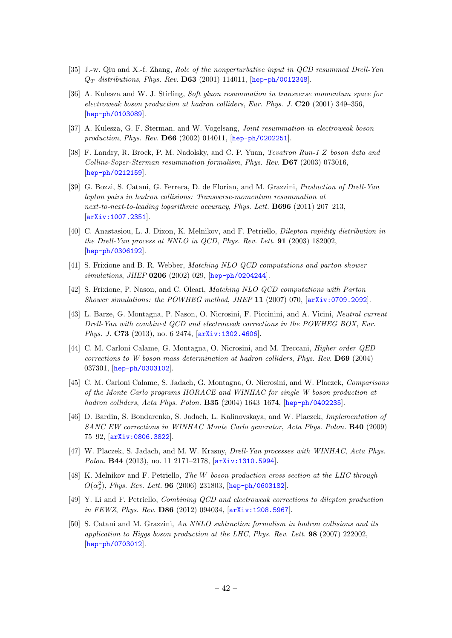- [35] J.-w. Qiu and X.-f. Zhang, Role of the nonperturbative input in QCD resummed Drell-Yan  $Q_T$  distributions, Phys. Rev. D63 (2001) 114011, [[hep-ph/0012348](http://arxiv.org/abs/hep-ph/0012348)].
- [36] A. Kulesza and W. J. Stirling, Soft gluon resummation in transverse momentum space for electroweak boson production at hadron colliders, Eur. Phys. J. C20 (2001) 349–356, [[hep-ph/0103089](http://arxiv.org/abs/hep-ph/0103089)].
- [37] A. Kulesza, G. F. Sterman, and W. Vogelsang, Joint resummation in electroweak boson production, Phys. Rev. D66 (2002) 014011, [[hep-ph/0202251](http://arxiv.org/abs/hep-ph/0202251)].
- [38] F. Landry, R. Brock, P. M. Nadolsky, and C. P. Yuan, Tevatron Run-1 Z boson data and Collins-Soper-Sterman resummation formalism, Phys. Rev. D67 (2003) 073016, [[hep-ph/0212159](http://arxiv.org/abs/hep-ph/0212159)].
- <span id="page-42-0"></span>[39] G. Bozzi, S. Catani, G. Ferrera, D. de Florian, and M. Grazzini, Production of Drell-Yan lepton pairs in hadron collisions: Transverse-momentum resummation at next-to-next-to-leading logarithmic accuracy, Phys. Lett. B696 (2011) 207–213, [[arXiv:1007.2351](http://arxiv.org/abs/1007.2351)].
- <span id="page-42-1"></span>[40] C. Anastasiou, L. J. Dixon, K. Melnikov, and F. Petriello, *Dilepton rapidity distribution in* the Drell-Yan process at NNLO in QCD, Phys. Rev. Lett. 91 (2003) 182002, [[hep-ph/0306192](http://arxiv.org/abs/hep-ph/0306192)].
- <span id="page-42-2"></span>[41] S. Frixione and B. R. Webber, Matching NLO QCD computations and parton shower simulations, JHEP 0206 (2002) 029, [[hep-ph/0204244](http://arxiv.org/abs/hep-ph/0204244)].
- <span id="page-42-3"></span>[42] S. Frixione, P. Nason, and C. Oleari, Matching NLO QCD computations with Parton Shower simulations: the POWHEG method, JHEP 11 (2007) 070, [[arXiv:0709.2092](http://arxiv.org/abs/0709.2092)].
- <span id="page-42-4"></span>[43] L. Barze, G. Montagna, P. Nason, O. Nicrosini, F. Piccinini, and A. Vicini, Neutral current Drell-Yan with combined QCD and electroweak corrections in the POWHEG BOX, Eur. Phys. J. C73 (2013), no. 6 2474,  $[arXiv:1302.4606]$  $[arXiv:1302.4606]$  $[arXiv:1302.4606]$ .
- <span id="page-42-5"></span>[44] C. M. Carloni Calame, G. Montagna, O. Nicrosini, and M. Treccani, Higher order QED corrections to W boson mass determination at hadron colliders, Phys. Rev. D69 (2004) 037301, [[hep-ph/0303102](http://arxiv.org/abs/hep-ph/0303102)].
- [45] C. M. Carloni Calame, S. Jadach, G. Montagna, O. Nicrosini, and W. Placzek, Comparisons of the Monte Carlo programs HORACE and WINHAC for single W boson production at hadron colliders, Acta Phys. Polon. B35 (2004) 1643-1674, [[hep-ph/0402235](http://arxiv.org/abs/hep-ph/0402235)].
- [46] D. Bardin, S. Bondarenko, S. Jadach, L. Kalinovskaya, and W. Placzek, Implementation of SANC EW corrections in WINHAC Monte Carlo generator, Acta Phys. Polon. B40 (2009) 75–92, [[arXiv:0806.3822](http://arxiv.org/abs/0806.3822)].
- <span id="page-42-6"></span>[47] W. Placzek, S. Jadach, and M. W. Krasny, Drell-Yan processes with WINHAC, Acta Phys. Polon. B44 (2013), no. 11 2171-2178,  $\alpha$ <sup>x</sup>iv:1310.5994.
- <span id="page-42-7"></span>[48] K. Melnikov and F. Petriello, The W boson production cross section at the LHC through  $O(\alpha_s^2)$ , *Phys. Rev. Lett.* **96** (2006) 231803, [[hep-ph/0603182](http://arxiv.org/abs/hep-ph/0603182)].
- <span id="page-42-8"></span>[49] Y. Li and F. Petriello, Combining QCD and electroweak corrections to dilepton production in FEWZ, Phys. Rev. D86 (2012) 094034, [[arXiv:1208.5967](http://arxiv.org/abs/1208.5967)].
- <span id="page-42-9"></span>[50] S. Catani and M. Grazzini, An NNLO subtraction formalism in hadron collisions and its application to Higgs boson production at the LHC, Phys. Rev. Lett. 98 (2007) 222002, [[hep-ph/0703012](http://arxiv.org/abs/hep-ph/0703012)].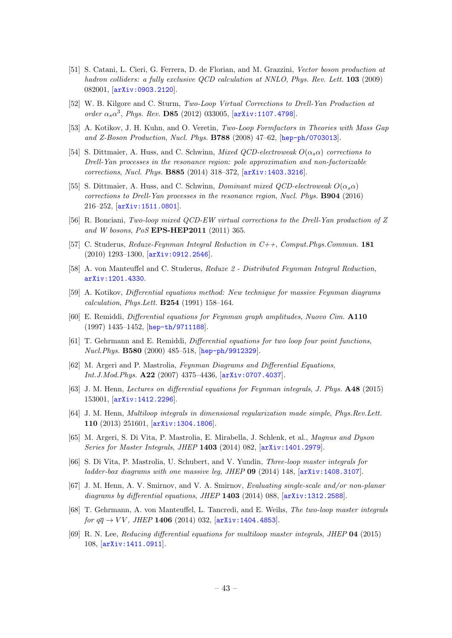- <span id="page-43-0"></span>[51] S. Catani, L. Cieri, G. Ferrera, D. de Florian, and M. Grazzini, Vector boson production at hadron colliders: a fully exclusive QCD calculation at NNLO, Phys. Rev. Lett. 103 (2009) 082001, [[arXiv:0903.2120](http://arxiv.org/abs/0903.2120)].
- <span id="page-43-1"></span>[52] W. B. Kilgore and C. Sturm, Two-Loop Virtual Corrections to Drell-Yan Production at order  $\alpha_s \alpha^3$ , Phys. Rev. D85 (2012) 033005, [[arXiv:1107.4798](http://arxiv.org/abs/1107.4798)].
- <span id="page-43-2"></span>[53] A. Kotikov, J. H. Kuhn, and O. Veretin, Two-Loop Formfactors in Theories with Mass Gap and Z-Boson Production, Nucl. Phys. B788 (2008) 47–62, [[hep-ph/0703013](http://arxiv.org/abs/hep-ph/0703013)].
- <span id="page-43-3"></span>[54] S. Dittmaier, A. Huss, and C. Schwinn, *Mixed QCD-electroweak*  $O(\alpha_s \alpha)$  corrections to Drell-Yan processes in the resonance region: pole approximation and non-factorizable corrections, Nucl. Phys. B885 (2014) 318–372, [[arXiv:1403.3216](http://arxiv.org/abs/1403.3216)].
- <span id="page-43-4"></span>[55] S. Dittmaier, A. Huss, and C. Schwinn, *Dominant mixed QCD-electroweak*  $O(\alpha_s \alpha)$ corrections to Drell-Yan processes in the resonance region, Nucl. Phys. B904 (2016) 216–252, [[arXiv:1511.0801](http://arxiv.org/abs/1511.0801)].
- <span id="page-43-5"></span>[56] R. Bonciani, Two-loop mixed QCD-EW virtual corrections to the Drell-Yan production of Z and W bosons, PoS EPS-HEP2011 (2011) 365.
- <span id="page-43-6"></span>[57] C. Studerus, Reduze-Feynman Integral Reduction in C++, Comput.Phys.Commun. 181 (2010) 1293–1300, [[arXiv:0912.2546](http://arxiv.org/abs/0912.2546)].
- <span id="page-43-7"></span>[58] A. von Manteuffel and C. Studerus, Reduze 2 - Distributed Feynman Integral Reduction, [arXiv:1201.4330](http://arxiv.org/abs/1201.4330).
- <span id="page-43-8"></span>[59] A. Kotikov, Differential equations method: New technique for massive Feynman diagrams calculation, Phys.Lett. B254 (1991) 158–164.
- [60] E. Remiddi, Differential equations for Feynman graph amplitudes, Nuovo Cim. A110 (1997) 1435–1452, [[hep-th/9711188](http://arxiv.org/abs/hep-th/9711188)].
- <span id="page-43-9"></span>[61] T. Gehrmann and E. Remiddi, Differential equations for two loop four point functions, Nucl.Phys. B580 (2000) 485–518, [[hep-ph/9912329](http://arxiv.org/abs/hep-ph/9912329)].
- <span id="page-43-10"></span>[62] M. Argeri and P. Mastrolia, Feynman Diagrams and Differential Equations, Int.J.Mod.Phys. A22 (2007) 4375–4436, [[arXiv:0707.4037](http://arxiv.org/abs/0707.4037)].
- <span id="page-43-11"></span>[63] J. M. Henn, Lectures on differential equations for Feynman integrals, J. Phys. A48 (2015) 153001, [[arXiv:1412.2296](http://arxiv.org/abs/1412.2296)].
- <span id="page-43-12"></span>[64] J. M. Henn, Multiloop integrals in dimensional regularization made simple, Phys.Rev.Lett. 110 (2013) 251601, [[arXiv:1304.1806](http://arxiv.org/abs/1304.1806)].
- <span id="page-43-13"></span>[65] M. Argeri, S. Di Vita, P. Mastrolia, E. Mirabella, J. Schlenk, et al., Magnus and Dyson Series for Master Integrals, JHEP 1403 (2014) 082, [[arXiv:1401.2979](http://arxiv.org/abs/1401.2979)].
- <span id="page-43-14"></span>[66] S. Di Vita, P. Mastrolia, U. Schubert, and V. Yundin, Three-loop master integrals for ladder-box diagrams with one massive leg, JHEP 09 (2014) 148,  $[\text{arXiv}:1408.3107]$ .
- <span id="page-43-15"></span>[67] J. M. Henn, A. V. Smirnov, and V. A. Smirnov, Evaluating single-scale and/or non-planar diagrams by differential equations, JHEP 1403 (2014) 088,  $[$ [arXiv:1312.2588](http://arxiv.org/abs/1312.2588)].
- [68] T. Gehrmann, A. von Manteuffel, L. Tancredi, and E. Weihs, The two-loop master integrals for  $q\bar{q} \to VV$ , JHEP 1406 (2014) 032,  $arXiv:1404.4853$ .
- <span id="page-43-16"></span>[69] R. N. Lee, Reducing differential equations for multiloop master integrals, JHEP 04 (2015) 108, [[arXiv:1411.0911](http://arxiv.org/abs/1411.0911)].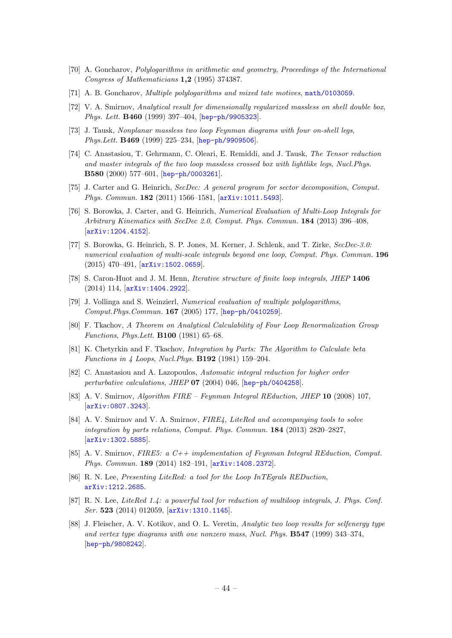- <span id="page-44-0"></span>[70] A. Goncharov, Polylogarithms in arithmetic and geometry, Proceedings of the International Congress of Mathematicians 1,2 (1995) 374387.
- <span id="page-44-1"></span>[71] A. B. Goncharov, Multiple polylogarithms and mixed tate motives, [math/0103059](http://arxiv.org/abs/math/0103059).
- <span id="page-44-2"></span>[72] V. A. Smirnov, Analytical result for dimensionally regularized massless on shell double box, Phys. Lett. B460 (1999) 397–404, [[hep-ph/9905323](http://arxiv.org/abs/hep-ph/9905323)].
- [73] J. Tausk, Nonplanar massless two loop Feynman diagrams with four on-shell legs, Phys.Lett. B469 (1999) 225–234, [[hep-ph/9909506](http://arxiv.org/abs/hep-ph/9909506)].
- <span id="page-44-3"></span>[74] C. Anastasiou, T. Gehrmann, C. Oleari, E. Remiddi, and J. Tausk, The Tensor reduction and master integrals of the two loop massless crossed box with lightlike legs, Nucl.Phys. B580 (2000) 577–601, [[hep-ph/0003261](http://arxiv.org/abs/hep-ph/0003261)].
- <span id="page-44-4"></span>[75] J. Carter and G. Heinrich, SecDec: A general program for sector decomposition, Comput. Phys. Commun. 182 (2011) 1566–1581, [[arXiv:1011.5493](http://arxiv.org/abs/1011.5493)].
- [76] S. Borowka, J. Carter, and G. Heinrich, Numerical Evaluation of Multi-Loop Integrals for Arbitrary Kinematics with SecDec 2.0, Comput. Phys. Commun. 184 (2013) 396–408, [[arXiv:1204.4152](http://arxiv.org/abs/1204.4152)].
- <span id="page-44-5"></span>[77] S. Borowka, G. Heinrich, S. P. Jones, M. Kerner, J. Schlenk, and T. Zirke, SecDec-3.0: numerical evaluation of multi-scale integrals beyond one loop, Comput. Phys. Commun. 196 (2015) 470–491, [[arXiv:1502.0659](http://arxiv.org/abs/1502.0659)].
- <span id="page-44-6"></span>[78] S. Caron-Huot and J. M. Henn, *Iterative structure of finite loop integrals*, *JHEP* 1406 (2014) 114, [[arXiv:1404.2922](http://arxiv.org/abs/1404.2922)].
- <span id="page-44-7"></span>[79] J. Vollinga and S. Weinzierl, Numerical evaluation of multiple polylogarithms, Comput.Phys.Commun. 167 (2005) 177, [[hep-ph/0410259](http://arxiv.org/abs/hep-ph/0410259)].
- <span id="page-44-8"></span>[80] F. Tkachov, A Theorem on Analytical Calculability of Four Loop Renormalization Group Functions, Phys.Lett. B100 (1981) 65–68.
- <span id="page-44-9"></span>[81] K. Chetyrkin and F. Tkachov, Integration by Parts: The Algorithm to Calculate beta Functions in 4 Loops, Nucl.Phys. B192 (1981) 159–204.
- <span id="page-44-11"></span>[82] C. Anastasiou and A. Lazopoulos, Automatic integral reduction for higher order perturbative calculations, JHEP 07 (2004) 046, [[hep-ph/0404258](http://arxiv.org/abs/hep-ph/0404258)].
- [83] A. V. Smirnov, Algorithm FIRE Feynman Integral REduction, JHEP 10 (2008) 107, [[arXiv:0807.3243](http://arxiv.org/abs/0807.3243)].
- [84] A. V. Smirnov and V. A. Smirnov, FIRE4, LiteRed and accompanying tools to solve integration by parts relations, Comput. Phys. Commun. 184 (2013) 2820–2827, [[arXiv:1302.5885](http://arxiv.org/abs/1302.5885)].
- [85] A. V. Smirnov, FIRE5: a  $C++implementation$  of Feynman Integral REduction, Comput. Phys. Commun. 189 (2014) 182–191, [[arXiv:1408.2372](http://arxiv.org/abs/1408.2372)].
- [86] R. N. Lee, Presenting LiteRed: a tool for the Loop InTEgrals REDuction, [arXiv:1212.2685](http://arxiv.org/abs/1212.2685).
- <span id="page-44-12"></span>[87] R. N. Lee, LiteRed 1.4: a powerful tool for reduction of multiloop integrals, J. Phys. Conf. Ser. 523 (2014) 012059, [[arXiv:1310.1145](http://arxiv.org/abs/1310.1145)].
- <span id="page-44-10"></span>[88] J. Fleischer, A. V. Kotikov, and O. L. Veretin, Analytic two loop results for selfenergy type and vertex type diagrams with one nonzero mass, Nucl. Phys. B547 (1999) 343–374, [[hep-ph/9808242](http://arxiv.org/abs/hep-ph/9808242)].